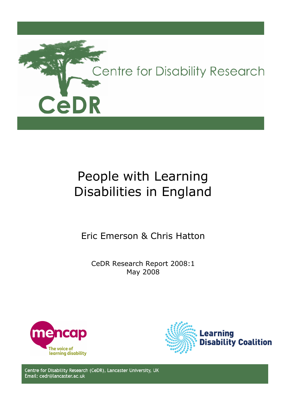

# People with Learning Disabilities in England

Eric Emerson & Chris Hatton

CeDR Research Report 2008:1 May 2008





Centre for Disability Research (CeDR), Lancaster University, UK Email: cedr@lancaster.ac.uk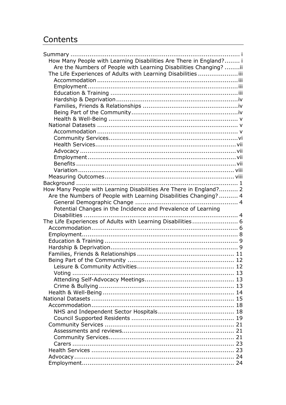## Contents

| How Many People with Learning Disabilities Are There in England? i |  |
|--------------------------------------------------------------------|--|
| Are the Numbers of People with Learning Disabilities Changing? ii  |  |
| The Life Experiences of Adults with Learning Disabilities iii      |  |
|                                                                    |  |
|                                                                    |  |
|                                                                    |  |
|                                                                    |  |
|                                                                    |  |
|                                                                    |  |
|                                                                    |  |
|                                                                    |  |
|                                                                    |  |
|                                                                    |  |
|                                                                    |  |
|                                                                    |  |
|                                                                    |  |
|                                                                    |  |
|                                                                    |  |
|                                                                    |  |
|                                                                    |  |
| How Many People with Learning Disabilities Are There in England? 2 |  |
| Are the Numbers of People with Learning Disabilities Changing? 4   |  |
|                                                                    |  |
|                                                                    |  |
|                                                                    |  |
| Potential Changes in the Incidence and Prevalence of Learning      |  |
|                                                                    |  |
| The Life Experiences of Adults with Learning Disabilities 6        |  |
|                                                                    |  |
|                                                                    |  |
|                                                                    |  |
|                                                                    |  |
|                                                                    |  |
|                                                                    |  |
|                                                                    |  |
|                                                                    |  |
|                                                                    |  |
|                                                                    |  |
|                                                                    |  |
|                                                                    |  |
|                                                                    |  |
|                                                                    |  |
|                                                                    |  |
|                                                                    |  |
|                                                                    |  |
|                                                                    |  |
|                                                                    |  |
|                                                                    |  |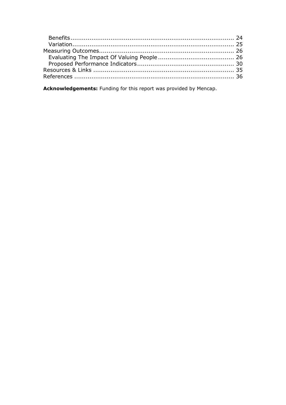Acknowledgements: Funding for this report was provided by Mencap.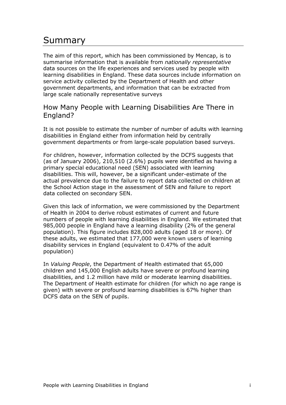## Summary

The aim of this report, which has been commissioned by Mencap, is to summarise information that is available from *nationally representative* data sources on the life experiences and services used by people with learning disabilities in England. These data sources include information on service activity collected by the Department of Health and other government departments, and information that can be extracted from large scale nationally representative surveys

### How Many People with Learning Disabilities Are There in England?

It is not possible to estimate the number of number of adults with learning disabilities in England either from information held by centrally government departments or from large-scale population based surveys.

For children, however, information collected by the DCFS suggests that (as of January 2006), 210,510 (2.6%) pupils were identified as having a primary special educational need (SEN) associated with learning disabilities. This will, however, be a significant under-estimate of the actual prevalence due to the failure to report data collected on children at the School Action stage in the assessment of SEN and failure to report data collected on secondary SEN.

Given this lack of information, we were commissioned by the Department of Health in 2004 to derive robust estimates of current and future numbers of people with learning disabilities in England. We estimated that 985,000 people in England have a learning disability (2% of the general population). This figure includes 828,000 adults (aged 18 or more). Of these adults, we estimated that 177,000 were known users of learning disability services in England (equivalent to 0.47% of the adult population)

In Valuing People, the Department of Health estimated that 65,000 children and 145,000 English adults have severe or profound learning disabilities, and 1.2 million have mild or moderate learning disabilities. The Department of Health estimate for children (for which no age range is given) with severe or profound learning disabilities is 67% higher than DCFS data on the SEN of pupils.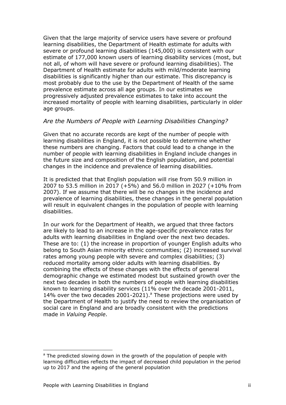Given that the large majority of service users have severe or profound learning disabilities, the Department of Health estimate for adults with severe or profound learning disabilities (145,000) is consistent with our estimate of 177,000 known users of learning disability services (most, but not all, of whom will have severe or profound learning disabilities). The Department of Health estimate for adults with mild/moderate learning disabilities is significantly higher than our estimate. This discrepancy is most probably due to the use by the Department of Health of the same prevalence estimate across all age groups. In our estimates we progressively adjusted prevalence estimates to take into account the increased mortality of people with learning disabilities, particularly in older age groups.

#### Are the Numbers of People with Learning Disabilities Changing?

Given that no accurate records are kept of the number of people with learning disabilities in England, it is not possible to determine whether these numbers are changing. Factors that could lead to a change in the number of people with learning disabilities in England include changes in the future size and composition of the English population, and potential changes in the incidence and prevalence of learning disabilities.

It is predicted that that English population will rise from 50.9 million in 2007 to 53.5 million in 2017 (+5%) and 56.0 million in 2027 (+10% from 2007). If we assume that there will be no changes in the incidence and prevalence of learning disabilities, these changes in the general population will result in equivalent changes in the population of people with learning disabilities.

In our work for the Department of Health, we argued that three factors are likely to lead to an increase in the age-specific prevalence rates for adults with learning disabilities in England over the next two decades. These are to: (1) the increase in proportion of younger English adults who belong to South Asian minority ethnic communities; (2) increased survival rates among young people with severe and complex disabilities; (3) reduced mortality among older adults with learning disabilities. By combining the effects of these changes with the effects of general demographic change we estimated modest but sustained growth over the next two decades in both the numbers of people with learning disabilities known to learning disability services (11% over the decade 2001-2011, 14% over the two decades 2001-2021). $^{\circ}$  These projections were used by the Department of Health to justify the need to review the organisation of social care in England and are broadly consistent with the predictions made in Valuing People.

l

<sup>&</sup>lt;sup>a</sup> The predicted slowing down in the growth of the population of people with learning difficulties reflects the impact of decreased child population in the period up to 2017 and the ageing of the general population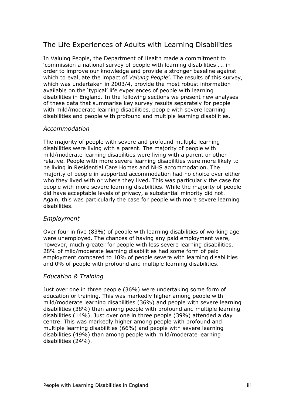### The Life Experiences of Adults with Learning Disabilities

In Valuing People, the Department of Health made a commitment to 'commission a national survey of people with learning disabilities …. in order to improve our knowledge and provide a stronger baseline against which to evaluate the impact of *Valuing People'*. The results of this survey, which was undertaken in 2003/4, provide the most robust information available on the 'typical' life experiences of people with learning disabilities in England. In the following sections we present new analyses of these data that summarise key survey results separately for people with mild/moderate learning disabilities, people with severe learning disabilities and people with profound and multiple learning disabilities.

#### Accommodation

The majority of people with severe and profound multiple learning disabilities were living with a parent. The majority of people with mild/moderate learning disabilities were living with a parent or other relative. People with more severe learning disabilities were more likely to be living in Residential Care Homes and NHS accommodation. The majority of people in supported accommodation had no choice over either who they lived with or where they lived. This was particularly the case for people with more severe learning disabilities. While the majority of people did have acceptable levels of privacy, a substantial minority did not. Again, this was particularly the case for people with more severe learning disabilities.

#### Employment

Over four in five (83%) of people with learning disabilities of working age were unemployed. The chances of having any paid employment were, however, much greater for people with less severe learning disabilities. 28% of mild/moderate learning disabilities had some form of paid employment compared to 10% of people severe with learning disabilities and 0% of people with profound and multiple learning disabilities.

### Education & Training

Just over one in three people (36%) were undertaking some form of education or training. This was markedly higher among people with mild/moderate learning disabilities (36%) and people with severe learning disabilities (38%) than among people with profound and multiple learning disabilities (14%). Just over one in three people (39%) attended a day centre. This was markedly higher among people with profound and multiple learning disabilities (66%) and people with severe learning disabilities (49%) than among people with mild/moderate learning disabilities (24%).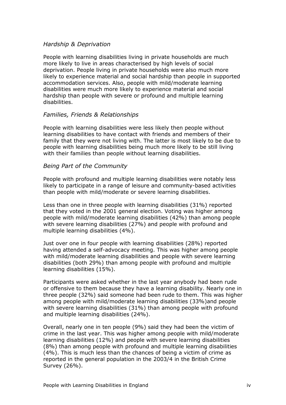#### Hardship & Deprivation

People with learning disabilities living in private households are much more likely to live in areas characterised by high levels of social deprivation. People living in private households were also much more likely to experience material and social hardship than people in supported accommodation services. Also, people with mild/moderate learning disabilities were much more likely to experience material and social hardship than people with severe or profound and multiple learning disabilities.

#### Families, Friends & Relationships

People with learning disabilities were less likely then people without learning disabilities to have contact with friends and members of their family that they were not living with. The latter is most likely to be due to people with learning disabilities being much more likely to be still living with their families than people without learning disabilities.

#### Being Part of the Community

People with profound and multiple learning disabilities were notably less likely to participate in a range of leisure and community-based activities than people with mild/moderate or severe learning disabilities.

Less than one in three people with learning disabilities (31%) reported that they voted in the 2001 general election. Voting was higher among people with mild/moderate learning disabilities (42%) than among people with severe learning disabilities (27%) and people with profound and multiple learning disabilities (4%).

Just over one in four people with learning disabilities (28%) reported having attended a self-advocacy meeting. This was higher among people with mild/moderate learning disabilities and people with severe learning disabilities (both 29%) than among people with profound and multiple learning disabilities (15%).

Participants were asked whether in the last year anybody had been rude or offensive to them because they have a learning disability. Nearly one in three people (32%) said someone had been rude to them. This was higher among people with mild/moderate learning disabilities (33%)and people with severe learning disabilities (31%) than among people with profound and multiple learning disabilities (24%).

Overall, nearly one in ten people (9%) said they had been the victim of crime in the last year. This was higher among people with mild/moderate learning disabilities (12%) and people with severe learning disabilities (8%) than among people with profound and multiple learning disabilities (4%). This is much less than the chances of being a victim of crime as reported in the general population in the 2003/4 in the British Crime Survey (26%).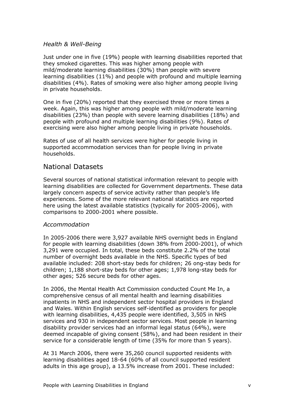#### Health & Well-Being

Just under one in five (19%) people with learning disabilities reported that they smoked cigarettes. This was higher among people with mild/moderate learning disabilities (30%) than people with severe learning disabilities (11%) and people with profound and multiple learning disabilities (4%). Rates of smoking were also higher among people living in private households.

One in five (20%) reported that they exercised three or more times a week. Again, this was higher among people with mild/moderate learning disabilities (23%) than people with severe learning disabilities (18%) and people with profound and multiple learning disabilities (9%). Rates of exercising were also higher among people living in private households.

Rates of use of all health services were higher for people living in supported accommodation services than for people living in private households.

### National Datasets

Several sources of national statistical information relevant to people with learning disabilities are collected for Government departments. These data largely concern aspects of service activity rather than people's life experiences. Some of the more relevant national statistics are reported here using the latest available statistics (typically for 2005-2006), with comparisons to 2000-2001 where possible.

#### Accommodation

In 2005-2006 there were 3,927 available NHS overnight beds in England for people with learning disabilities (down 38% from 2000-2001), of which 3,291 were occupied. In total, these beds constitute 2.2% of the total number of overnight beds available in the NHS. Specific types of bed available included: 208 short-stay beds for children; 26 ong-stay beds for children; 1,188 short-stay beds for other ages; 1,978 long-stay beds for other ages; 526 secure beds for other ages.

In 2006, the Mental Health Act Commission conducted Count Me In, a comprehensive census of all mental health and learning disabilities inpatients in NHS and independent sector hospital providers in England and Wales. Within English services self-identified as providers for people with learning disabilities, 4,435 people were identified, 3,505 in NHS services and 930 in independent sector services. Most people in learning disability provider services had an informal legal status (64%), were deemed incapable of giving consent (58%), and had been resident in their service for a considerable length of time (35% for more than 5 years).

At 31 March 2006, there were 35,260 council supported residents with learning disabilities aged 18-64 (60% of all council supported resident adults in this age group), a 13.5% increase from 2001. These included: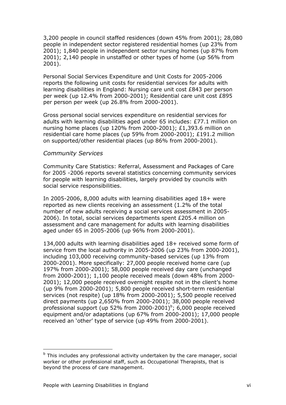3,200 people in council staffed residences (down 45% from 2001); 28,080 people in independent sector registered residential homes (up 23% from 2001); 1,840 people in independent sector nursing homes (up 87% from 2001); 2,140 people in unstaffed or other types of home (up 56% from 2001).

Personal Social Services Expenditure and Unit Costs for 2005-2006 reports the following unit costs for residential services for adults with learning disabilities in England: Nursing care unit cost £843 per person per week (up 12.4% from 2000-2001); Residential care unit cost £895 per person per week (up 26.8% from 2000-2001).

Gross personal social services expenditure on residential services for adults with learning disabilities aged under 65 includes: £77.1 million on nursing home places (up 120% from 2000-2001); £1,393.6 million on residential care home places (up 59% from 2000-2001); £191.2 million on supported/other residential places (up 86% from 2000-2001).

#### Community Services

Community Care Statistics: Referral, Assessment and Packages of Care for 2005 -2006 reports several statistics concerning community services for people with learning disabilities, largely provided by councils with social service responsibilities.

In 2005-2006, 8,000 adults with learning disabilities aged 18+ were reported as new clients receiving an assessment (1.2% of the total number of new adults receiving a social services assessment in 2005- 2006). In total, social services departments spent £205.4 million on assessment and care management for adults with learning disabilities aged under 65 in 2005-2006 (up 96% from 2000-2001).

134,000 adults with learning disabilities aged 18+ received some form of service from the local authority in 2005-2006 (up 23% from 2000-2001), including 103,000 receiving community-based services (up 13% from 2000-2001). More specifically: 27,000 people received home care (up 197% from 2000-2001); 58,000 people received day care (unchanged from 2000-2001); 1,100 people received meals (down 48% from 2000- 2001); 12,000 people received overnight respite not in the client's home (up 9% from 2000-2001); 5,800 people received short-term residential services (not respite) (up 18% from 2000-2001); 5,500 people received direct payments (up 2,650% from 2000-2001); 38,000 people received professional support (up 52% from 2000-2001) $^{\circ}$ ; 6,000 people received equipment and/or adaptations (up 67% from 2000-2001); 17,000 people received an 'other' type of service (up 49% from 2000-2001).

1

<sup>&</sup>lt;sup>b</sup> This includes any professional activity undertaken by the care manager, social worker or other professional staff, such as Occupational Therapists, that is beyond the process of care management.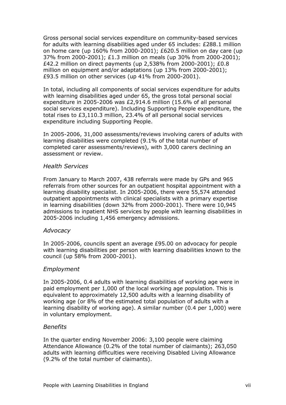Gross personal social services expenditure on community-based services for adults with learning disabilities aged under 65 includes: £288.1 million on home care (up 160% from 2000-2001); £620.5 million on day care (up 37% from 2000-2001); £1.3 million on meals (up 30% from 2000-2001); £42.2 million on direct payments (up 2,538% from 2000-2001); £0.8 million on equipment and/or adaptations (up 13% from 2000-2001); £93.5 million on other services (up 41% from 2000-2001).

In total, including all components of social services expenditure for adults with learning disabilities aged under 65, the gross total personal social expenditure in 2005-2006 was £2,914.6 million (15.6% of all personal social services expenditure). Including Supporting People expenditure, the total rises to £3,110.3 million, 23.4% of all personal social services expenditure including Supporting People.

In 2005-2006, 31,000 assessments/reviews involving carers of adults with learning disabilities were completed (9.1% of the total number of completed carer assessments/reviews), with 3,000 carers declining an assessment or review.

#### Health Services

From January to March 2007, 438 referrals were made by GPs and 965 referrals from other sources for an outpatient hospital appointment with a learning disability specialist. In 2005-2006, there were 55,574 attended outpatient appointments with clinical specialists with a primary expertise in learning disabilities (down 32% from 2000-2001). There were 10,945 admissions to inpatient NHS services by people with learning disabilities in 2005-2006 including 1,456 emergency admissions.

#### Advocacy

In 2005-2006, councils spent an average £95.00 on advocacy for people with learning disabilities per person with learning disabilities known to the council (up 58% from 2000-2001).

#### Employment

In 2005-2006, 0.4 adults with learning disabilities of working age were in paid employment per 1,000 of the local working age population. This is equivalent to approximately 12,500 adults with a learning disability of working age (or 8% of the estimated total population of adults with a learning disability of working age). A similar number (0.4 per 1,000) were in voluntary employment.

#### Benefits

In the quarter ending November 2006: 3,100 people were claiming Attendance Allowance (0.2% of the total number of claimants); 263,050 adults with learning difficulties were receiving Disabled Living Allowance (9.2% of the total number of claimants).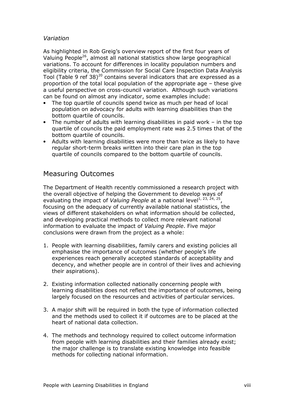#### Variation

As highlighted in Rob Greig's overview report of the first four years of Valuing People<sup>26</sup>, almost all national statistics show large geographical variations. To account for differences in locality population numbers and eligibility criteria, the Commission for Social Care Inspection Data Analysis Tool (Table 9 ref 38)<sup>20</sup> contains several indicators that are expressed as a proportion of the total local population of the appropriate age – these give a useful perspective on cross-council variation. Although such variations can be found on almost any indicator, some examples include:

- The top quartile of councils spend twice as much per head of local population on advocacy for adults with learning disabilities than the bottom quartile of councils.
- The number of adults with learning disabilities in paid work in the top quartile of councils the paid employment rate was 2.5 times that of the bottom quartile of councils.
- Adults with learning disabilities were more than twice as likely to have regular short-term breaks written into their care plan in the top quartile of councils compared to the bottom quartile of councils.

### Measuring Outcomes

The Department of Health recently commissioned a research project with the overall objective of helping the Government to develop ways of evaluating the impact of *Valuing People* at a national level<sup>1, 23, 24, 25</sup>, focusing on the adequacy of currently available national statistics, the views of different stakeholders on what information should be collected, and developing practical methods to collect more relevant national information to evaluate the impact of Valuing People. Five major conclusions were drawn from the project as a whole:

- 1. People with learning disabilities, family carers and existing policies all emphasise the importance of outcomes (whether people's life experiences reach generally accepted standards of acceptability and decency, and whether people are in control of their lives and achieving their aspirations).
- 2. Existing information collected nationally concerning people with learning disabilities does not reflect the importance of outcomes, being largely focused on the resources and activities of particular services.
- 3. A major shift will be required in both the type of information collected and the methods used to collect it if outcomes are to be placed at the heart of national data collection.
- 4. The methods and technology required to collect outcome information from people with learning disabilities and their families already exist; the major challenge is to translate existing knowledge into feasible methods for collecting national information.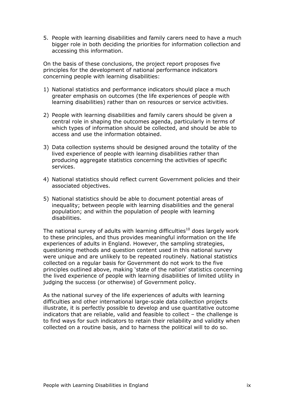5. People with learning disabilities and family carers need to have a much bigger role in both deciding the priorities for information collection and accessing this information.

On the basis of these conclusions, the project report proposes five principles for the development of national performance indicators concerning people with learning disabilities:

- 1) National statistics and performance indicators should place a much greater emphasis on outcomes (the life experiences of people with learning disabilities) rather than on resources or service activities.
- 2) People with learning disabilities and family carers should be given a central role in shaping the outcomes agenda, particularly in terms of which types of information should be collected, and should be able to access and use the information obtained.
- 3) Data collection systems should be designed around the totality of the lived experience of people with learning disabilities rather than producing aggregate statistics concerning the activities of specific services.
- 4) National statistics should reflect current Government policies and their associated objectives.
- 5) National statistics should be able to document potential areas of inequality; between people with learning disabilities and the general population; and within the population of people with learning disabilities.

The national survey of adults with learning difficulties<sup>10</sup> does largely work to these principles, and thus provides meaningful information on the life experiences of adults in England. However, the sampling strategies, questioning methods and question content used in this national survey were unique and are unlikely to be repeated routinely. National statistics collected on a regular basis for Government do not work to the five principles outlined above, making 'state of the nation' statistics concerning the lived experience of people with learning disabilities of limited utility in judging the success (or otherwise) of Government policy.

As the national survey of the life experiences of adults with learning difficulties and other international large-scale data collection projects illustrate, it is perfectly possible to develop and use quantitative outcome indicators that are reliable, valid and feasible to collect – the challenge is to find ways for such indicators to retain their reliability and validity when collected on a routine basis, and to harness the political will to do so.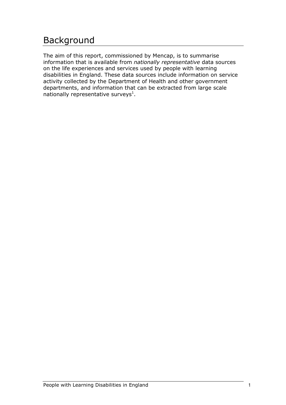## Background

The aim of this report, commissioned by Mencap, is to summarise information that is available from nationally representative data sources on the life experiences and services used by people with learning disabilities in England. These data sources include information on service activity collected by the Department of Health and other government departments, and information that can be extracted from large scale nationally representative surveys $^1$ .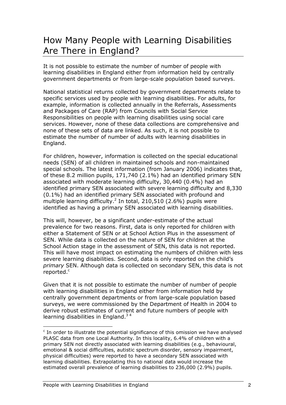## How Many People with Learning Disabilities Are There in England?

It is not possible to estimate the number of number of people with learning disabilities in England either from information held by centrally government departments or from large-scale population based surveys.

National statistical returns collected by government departments relate to specific services used by people with learning disabilities. For adults, for example, information is collected annually in the Referrals, Assessments and Packages of Care (RAP) from Councils with Social Service Responsibilities on people with learning disabilities using social care services. However, none of these data collections are comprehensive and none of these sets of data are linked. As such, it is not possible to estimate the number of number of adults with learning disabilities in England.

For children, however, information is collected on the special educational needs (SEN) of all children in maintained schools and non-maintained special schools. The latest information (from January 2006) indicates that, of these 8.2 million pupils, 171,740 (2.1%) had an identified primary SEN associated with moderate learning difficulty, 30,440 (0.4%) had an identified primary SEN associated with severe learning difficulty and 8,330 (0.1%) had an identified primary SEN associated with profound and multiple learning difficulty.<sup>2</sup> In total, 210,510 (2.6%) pupils were identified as having a primary SEN associated with learning disabilities.

This will, however, be a significant under-estimate of the actual prevalence for two reasons. First, data is only reported for children with either a Statement of SEN or at School Action Plus in the assessment of SEN. While data is collected on the nature of SEN for children at the School Action stage in the assessment of SEN, this data is not reported. This will have most impact on estimating the numbers of children with less severe learning disabilities. Second, data is only reported on the child's primary SEN. Although data is collected on secondary SEN, this data is not reported. $\mathbf c$ 

Given that it is not possible to estimate the number of number of people with learning disabilities in England either from information held by centrally government departments or from large-scale population based surveys, we were commissioned by the Department of Health in 2004 to derive robust estimates of current and future numbers of people with learning disabilities in England. $34$ 

l

 $c$  In order to illustrate the potential significance of this omission we have analysed PLASC data from one Local Authority. In this locality, 6.4% of children with a primary SEN not directly associated with learning disabilities (e.g., behavioural, emotional & social difficulties, autistic spectrum disorder, sensory impairment, physical difficulties) were reported to have a secondary SEN associated with learning disabilities. Extrapolating this to national data would increase the estimated overall prevalence of learning disabilities to 236,000 (2.9%) pupils.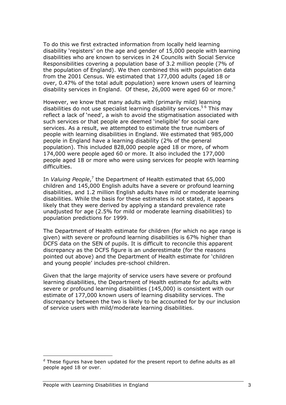To do this we first extracted information from locally held learning disability 'registers' on the age and gender of 15,000 people with learning disabilities who are known to services in 24 Councils with Social Service Responsibilities covering a population base of 3.2 million people (7% of the population of England). We then combined this with population data from the 2001 Census. We estimated that 177,000 adults (aged 18 or over, 0.47% of the total adult population) were known users of learning disability services in England. Of these, 26,000 were aged 60 or more.

However, we know that many adults with (primarily mild) learning disabilities do not use specialist learning disability services.<sup>56</sup> This may reflect a lack of 'need', a wish to avoid the stigmatisation associated with such services or that people are deemed 'ineligible' for social care services. As a result, we attempted to estimate the true numbers of people with learning disabilities in England. We estimated that 985,000 people in England have a learning disability (2% of the general population). This included 828,000 people aged 18 or more, of whom 174,000 were people aged 60 or more. It also included the 177,000 people aged 18 or more who were using services for people with learning difficulties.

In *Valuing People*,<sup>7</sup> the Department of Health estimated that 65,000 children and 145,000 English adults have a severe or profound learning disabilities, and 1.2 million English adults have mild or moderate learning disabilities. While the basis for these estimates is not stated, it appears likely that they were derived by applying a standard prevalence rate unadjusted for age (2.5% for mild or moderate learning disabilities) to population predictions for 1999.

The Department of Health estimate for children (for which no age range is given) with severe or profound learning disabilities is 67% higher than DCFS data on the SEN of pupils. It is difficult to reconcile this apparent discrepancy as the DCFS figure is an underestimate (for the reasons pointed out above) and the Department of Health estimate for 'children and young people' includes pre-school children.

Given that the large majority of service users have severe or profound learning disabilities, the Department of Health estimate for adults with severe or profound learning disabilities (145,000) is consistent with our estimate of 177,000 known users of learning disability services. The discrepancy between the two is likely to be accounted for by our inclusion of service users with mild/moderate learning disabilities.

1

<sup>&</sup>lt;sup>d</sup> These figures have been updated for the present report to define adults as all people aged 18 or over.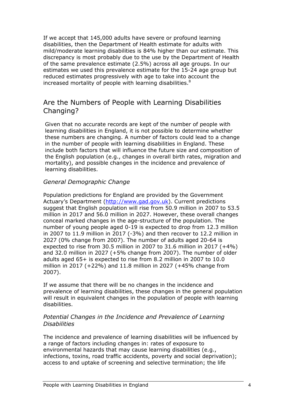If we accept that 145,000 adults have severe or profound learning disabilities, then the Department of Health estimate for adults with mild/moderate learning disabilities is 84% higher than our estimate. This discrepancy is most probably due to the use by the Department of Health of the same prevalence estimate (2.5%) across all age groups. In our estimates we used this prevalence estimate for the 15-24 age group but reduced estimates progressively with age to take into account the increased mortality of people with learning disabilities. $8$ 

### Are the Numbers of People with Learning Disabilities Changing?

Given that no accurate records are kept of the number of people with learning disabilities in England, it is not possible to determine whether these numbers are changing. A number of factors could lead to a change in the number of people with learning disabilities in England. These include both factors that will influence the future size and composition of the English population (e.g., changes in overall birth rates, migration and mortality), and possible changes in the incidence and prevalence of learning disabilities.

### General Demographic Change

Population predictions for England are provided by the Government Actuary's Department (http://www.gad.gov.uk). Current predictions suggest that English population will rise from 50.9 million in 2007 to 53.5 million in 2017 and 56.0 million in 2027. However, these overall changes conceal marked changes in the age-structure of the population. The number of young people aged 0-19 is expected to drop from 12.3 million in 2007 to 11.9 million in 2017 (-3%) and then recover to 12.2 million in 2027 (0% change from 2007). The number of adults aged 20-64 is expected to rise from 30.5 million in 2007 to 31.6 million in 2017 (+4%) and 32.0 million in 2027 (+5% change from 2007). The number of older adults aged 65+ is expected to rise from 8.2 million in 2007 to 10.0 million in 2017 (+22%) and 11.8 million in 2027 (+45% change from 2007).

If we assume that there will be no changes in the incidence and prevalence of learning disabilities, these changes in the general population will result in equivalent changes in the population of people with learning disabilities.

#### Potential Changes in the Incidence and Prevalence of Learning **Disabilities**

The incidence and prevalence of learning disabilities will be influenced by a range of factors including changes in: rates of exposure to environmental hazards that may cause learning disabilities (e.g., infections, toxins, road traffic accidents, poverty and social deprivation); access to and uptake of screening and selective termination; the life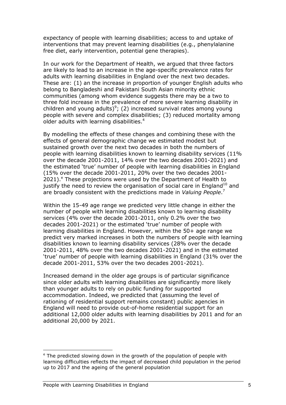expectancy of people with learning disabilities; access to and uptake of interventions that may prevent learning disabilities (e.g., phenylalanine free diet, early intervention, potential gene therapies).

In our work for the Department of Health, we argued that three factors are likely to lead to an increase in the age-specific prevalence rates for adults with learning disabilities in England over the next two decades. These are: (1) an the increase in proportion of younger English adults who belong to Bangladeshi and Pakistani South Asian minority ethnic communities (among whom evidence suggests there may be a two to three fold increase in the prevalence of more severe learning disability in children and young adults)<sup>9</sup>; (2) increased survival rates among young people with severe and complex disabilities; (3) reduced mortality among older adults with learning disabilities.<sup>4</sup>

By modelling the effects of these changes and combining these with the effects of general demographic change we estimated modest but sustained growth over the next two decades in both the numbers of people with learning disabilities known to learning disability services (11% over the decade 2001-2011, 14% over the two decades 2001-2021) and the estimated 'true' number of people with learning disabilities in England (15% over the decade 2001-2011, 20% over the two decades 2001-  $2021$ ).<sup>e</sup> These projections were used by the Department of Health to justify the need to review the organisation of social care in England<sup>10</sup> and are broadly consistent with the predictions made in Valuing People.<sup>7</sup>

Within the 15-49 age range we predicted very little change in either the number of people with learning disabilities known to learning disability services (4% over the decade 2001-2011, only 0.2% over the two decades 2001-2021) or the estimated 'true' number of people with learning disabilities in England. However, within the 50+ age range we predict very marked increases in both the numbers of people with learning disabilities known to learning disability services (28% over the decade 2001-2011, 48% over the two decades 2001-2021) and in the estimated 'true' number of people with learning disabilities in England (31% over the decade 2001-2011, 53% over the two decades 2001-2021).

Increased demand in the older age groups is of particular significance since older adults with learning disabilities are significantly more likely than younger adults to rely on public funding for supported accommodation. Indeed, we predicted that (assuming the level of rationing of residential support remains constant) public agencies in England will need to provide out-of-home residential support for an additional 12,000 older adults with learning disabilities by 2011 and for an additional 20,000 by 2021.

l

<sup>&</sup>lt;sup>e</sup> The predicted slowing down in the growth of the population of people with learning difficulties reflects the impact of decreased child population in the period up to 2017 and the ageing of the general population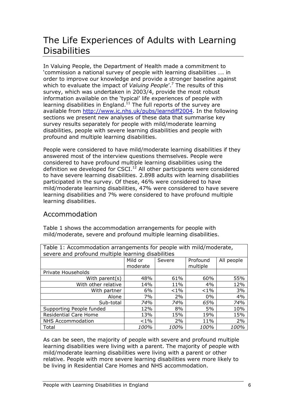## The Life Experiences of Adults with Learning **Disabilities**

In Valuing People, the Department of Health made a commitment to 'commission a national survey of people with learning disabilities …. in order to improve our knowledge and provide a stronger baseline against which to evaluate the impact of *Valuing People'*.<sup>7</sup> The results of this survey, which was undertaken in 2003/4, provide the most robust information available on the 'typical' life experiences of people with learning disabilities in England.<sup>11</sup> The full reports of the survey are available from http://www.ic.nhs.uk/pubs/learndiff2004. In the following sections we present new analyses of these data that summarise key survey results separately for people with mild/moderate learning disabilities, people with severe learning disabilities and people with profound and multiple learning disabilities.

People were considered to have mild/moderate learning disabilities if they answered most of the interview questions themselves. People were considered to have profound multiple learning disabilities using the definition we developed for CSCI.<sup>12</sup> All other participants were considered to have severe learning disabilities. 2.898 adults with learning disabilities participated in the survey. Of these, 46% were considered to have mild/moderate learning disabilities, 47% were considered to have severe learning disabilities and 7% were considered to have profound multiple learning disabilities.

### Accommodation

Table 1 shows the accommodation arrangements for people with mild/moderate, severe and profound multiple learning disabilities.

| Table 1: Accommodation arrangements for people with mild/moderate, |                            |       |          |      |  |  |  |  |
|--------------------------------------------------------------------|----------------------------|-------|----------|------|--|--|--|--|
| severe and profound multiple learning disabilities                 |                            |       |          |      |  |  |  |  |
| Mild or<br>Severe<br>All people<br>Profound                        |                            |       |          |      |  |  |  |  |
|                                                                    | moderate                   |       | multiple |      |  |  |  |  |
| Private Households                                                 |                            |       |          |      |  |  |  |  |
| 48%<br>61%<br>60%<br>55%<br>With parent $(s)$                      |                            |       |          |      |  |  |  |  |
| With other relative                                                | 14%                        | 11%   | 4%       | 12%  |  |  |  |  |
| With partner                                                       | 6%                         | $1\%$ | $< 1\%$  | 3%   |  |  |  |  |
| Alone                                                              | 7%                         | 2%    | $0\%$    | 4%   |  |  |  |  |
| Sub-total                                                          | 74%<br>74%<br>74%<br>65%   |       |          |      |  |  |  |  |
| Supporting People funded                                           | 12%                        | 8%    | 5%       | 10%  |  |  |  |  |
| <b>Residential Care Home</b><br>13%<br>19%<br>15%<br>15%           |                            |       |          |      |  |  |  |  |
| <b>NHS Accommodation</b>                                           | 2%<br>2%<br>$< 1\%$<br>11% |       |          |      |  |  |  |  |
| Total                                                              | 100%                       | 100%  | 100%     | 100% |  |  |  |  |

As can be seen, the majority of people with severe and profound multiple learning disabilities were living with a parent. The majority of people with mild/moderate learning disabilities were living with a parent or other relative. People with more severe learning disabilities were more likely to be living in Residential Care Homes and NHS accommodation.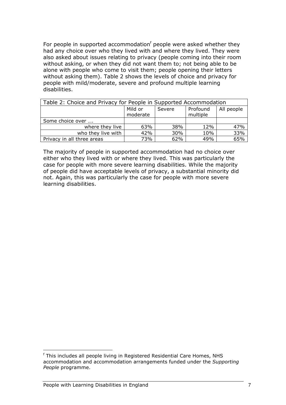For people in supported accommodation<sup>f</sup> people were asked whether they had any choice over who they lived with and where they lived. They were also asked about issues relating to privacy (people coming into their room without asking, or when they did not want them to; not being able to be alone with people who come to visit them; people opening their letters without asking them). Table 2 shows the levels of choice and privacy for people with mild/moderate, severe and profound multiple learning disabilities.

| Table 2: Choice and Privacy for People in Supported Accommodation |                                                                     |     |     |     |  |  |  |
|-------------------------------------------------------------------|---------------------------------------------------------------------|-----|-----|-----|--|--|--|
|                                                                   | Mild or<br>Profound<br>All people<br>Severe<br>multiple<br>moderate |     |     |     |  |  |  |
| Some choice over                                                  |                                                                     |     |     |     |  |  |  |
| where they live                                                   | 63%                                                                 | 38% | 12% | 47% |  |  |  |
| who they live with                                                | 10%                                                                 | 33% |     |     |  |  |  |
| Privacy in all three areas                                        | 73%                                                                 | 62% | 49% | 65% |  |  |  |

The majority of people in supported accommodation had no choice over either who they lived with or where they lived. This was particularly the case for people with more severe learning disabilities. While the majority of people did have acceptable levels of privacy, a substantial minority did not. Again, this was particularly the case for people with more severe learning disabilities.

l

f This includes all people living in Registered Residential Care Homes, NHS accommodation and accommodation arrangements funded under the Supporting People programme.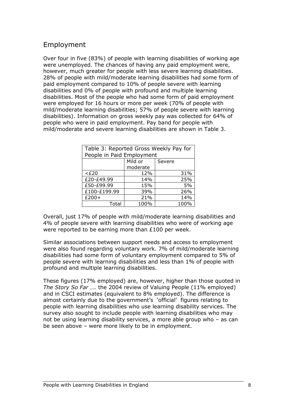### Employment

Over four in five (83%) of people with learning disabilities of working age were unemployed. The chances of having any paid employment were, however, much greater for people with less severe learning disabilities. 28% of people with mild/moderate learning disabilities had some form of paid employment compared to 10% of people severe with learning disabilities and 0% of people with profound and multiple learning disabilities. Most of the people who had some form of paid employment were employed for 16 hours or more per week (70% of people with mild/moderate learning disabilities; 57% of people severe with learning disabilities). Information on gross weekly pay was collected for 64% of people who were in paid employment. Pay band for people with mild/moderate and severe learning disabilities are shown in Table 3.

| Table 3: Reported Gross Weekly Pay for<br>People in Paid Employment |      |      |  |  |  |
|---------------------------------------------------------------------|------|------|--|--|--|
| Mild or<br>Severe                                                   |      |      |  |  |  |
| moderate                                                            |      |      |  |  |  |
| $<$ £20                                                             | 12%  | 31%  |  |  |  |
| £20-£49.99                                                          | 14%  | 25%  |  |  |  |
| £50-£99.99                                                          | 15%  | 5%   |  |  |  |
| £100-£199.99<br>39%<br>26%                                          |      |      |  |  |  |
| $£200+$<br>14%<br>21%                                               |      |      |  |  |  |
| Total                                                               | 100% | 100% |  |  |  |

Overall, just 17% of people with mild/moderate learning disabilities and 4% of people severe with learning disabilities who were of working age were reported to be earning more than £100 per week.

Similar associations between support needs and access to employment were also found regarding voluntary work. 7% of mild/moderate learning disabilities had some form of voluntary employment compared to 5% of people severe with learning disabilities and less than 1% of people with profound and multiple learning disabilities.

These figures (17% employed) are, however, higher than those quoted in The Story So Far .... the 2004 review of Valuing People (11% employed) and in CSCI estimates (equivalent to 8% employed). The difference is almost certainly due to the government's 'official' figures relating to people with learning disabilities who use learning disability services. The survey also sought to include people with learning disabilities who may not be using learning disability services, a more able group who – as can be seen above – were more likely to be in employment.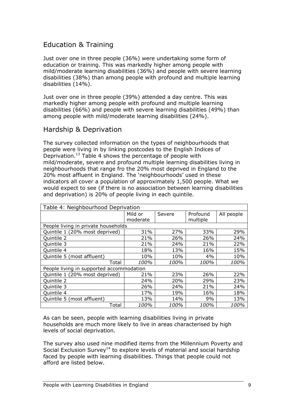### Education & Training

Just over one in three people (36%) were undertaking some form of education or training. This was markedly higher among people with mild/moderate learning disabilities (36%) and people with severe learning disabilities (38%) than among people with profound and multiple learning disabilities (14%).

Just over one in three people (39%) attended a day centre. This was markedly higher among people with profound and multiple learning disabilities (66%) and people with severe learning disabilities (49%) than among people with mild/moderate learning disabilities (24%).

### Hardship & Deprivation

The survey collected information on the types of neighbourhoods that people were living in by linking postcodes to the English Indices of Deprivation.<sup>13</sup> Table 4 shows the percentage of people with mild/moderate, severe and profound multiple learning disabilities living in neighbourhoods that range fro the 20% most deprived in England to the 20% most affluent in England. The 'neighbourhoods' used in these indicators all cover a population of approximately 1,500 people. What we would expect to see (if there is no association between learning disabilities and deprivation) is 20% of people living in each quintile.

| Table 4: Neighbourhood Deprivation       |          |        |          |            |  |
|------------------------------------------|----------|--------|----------|------------|--|
|                                          | Mild or  | Severe | Profound | All people |  |
|                                          | moderate |        | multiple |            |  |
| People living in private households      |          |        |          |            |  |
| Quintile 1 (20% most deprived)           | 31%      | 27%    | 33%      | 29%        |  |
| Quintile 2                               | 21%      | 26%    | 26%      | 24%        |  |
| Quintile 3                               | 21%      | 24%    | 21%      | 22%        |  |
| Quintile 4                               | 18%      | 13%    | 16%      | 15%        |  |
| Quintile 5 (most affluent)               | 10%      | 10%    | 4%       | 10%        |  |
| Total                                    | 100%     | 100%   | 100%     | 100%       |  |
| People living in supported accommodation |          |        |          |            |  |
| Quintile 1 (20% most deprived)           | 21%      | 23%    | 26%      | 22%        |  |
| Quintile 2                               | 24%      | 20%    | 29%      | 23%        |  |
| Quintile 3                               | 26%      | 24%    | 21%      | 24%        |  |
| Quintile 4                               | 17%      | 19%    | 16%      | 18%        |  |
| Quintile 5 (most affluent)               | 13%      | 14%    | 9%       | 13%        |  |
| Total                                    | 100%     | 100%   | 100%     | 100%       |  |

As can be seen, people with learning disabilities living in private households are much more likely to live in areas characterised by high levels of social deprivation.

The survey also used nine modified items from the Millennium Poverty and Social Exclusion Survey<sup>14</sup> to explore levels of material and social hardship faced by people with learning disabilities. Things that people could not afford are listed below.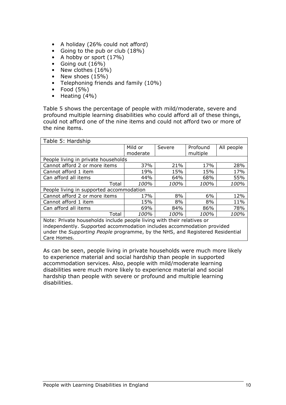- A holiday (26% could not afford)
- Going to the pub or club (18%)
- A hobby or sport (17%)
- Going out (16%)
- New clothes (16%)
- New shoes (15%)
- Telephoning friends and family (10%)
- Food  $(5\%)$
- Heating (4%)

Table 5 shows the percentage of people with mild/moderate, severe and profound multiple learning disabilities who could afford all of these things, could not afford one of the nine items and could not afford two or more of the nine items.

| Table 5: Hardship                                                             |          |        |          |            |  |
|-------------------------------------------------------------------------------|----------|--------|----------|------------|--|
|                                                                               | Mild or  | Severe | Profound | All people |  |
|                                                                               | moderate |        | multiple |            |  |
| People living in private households                                           |          |        |          |            |  |
| Cannot afford 2 or more items                                                 | 37%      | 21%    | 17%      | 28%        |  |
| Cannot afford 1 item                                                          | 19%      | 15%    | 15%      | 17%        |  |
| Can afford all items                                                          | 44%      | 64%    | 68%      | 55%        |  |
| Total                                                                         | 100%     | 100%   | 100%     | 100%       |  |
| People living in supported accommodation                                      |          |        |          |            |  |
| Cannot afford 2 or more items                                                 | 17%      | 8%     | 6%       | 12%        |  |
| Cannot afford 1 item                                                          | 15%      | 8%     | 8%       | 11%        |  |
| Can afford all items                                                          | 69%      | 84%    | 86%      | 78%        |  |
| Total                                                                         | 100%     | 100%   | 100%     | 100%       |  |
| Note: Private households include people living with their relatives or        |          |        |          |            |  |
| independently. Supported accommodation includes accommodation provided        |          |        |          |            |  |
| under the Supporting People programme, by the NHS, and Registered Residential |          |        |          |            |  |
| Care Homes.                                                                   |          |        |          |            |  |

As can be seen, people living in private households were much more likely to experience material and social hardship than people in supported accommodation services. Also, people with mild/moderate learning disabilities were much more likely to experience material and social hardship than people with severe or profound and multiple learning disabilities.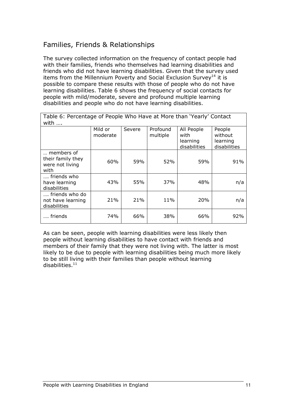### Families, Friends & Relationships

The survey collected information on the frequency of contact people had with their families, friends who themselves had learning disabilities and friends who did not have learning disabilities. Given that the survey used items from the Millennium Poverty and Social Exclusion Survey<sup>14</sup> it is possible to compare these results with those of people who do not have learning disabilities. Table 6 shows the frequency of social contacts for people with mild/moderate, severe and profound multiple learning disabilities and people who do not have learning disabilities.

| Table 6: Percentage of People Who Have at More than 'Yearly' Contact<br>with $\dots$ |                     |        |                      |                                                |                                               |  |
|--------------------------------------------------------------------------------------|---------------------|--------|----------------------|------------------------------------------------|-----------------------------------------------|--|
|                                                                                      | Mild or<br>moderate | Severe | Profound<br>multiple | All People<br>with<br>learning<br>disabilities | People<br>without<br>learning<br>disabilities |  |
| members of<br>their family they<br>were not living<br>with                           | 60%                 | 59%    | 52%                  | 59%                                            | 91%                                           |  |
| friends who<br>have learning<br>disabilities                                         | 43%                 | 55%    | 37%                  | 48%                                            | n/a                                           |  |
| friends who do<br>not have learning<br>disabilities                                  | 21%                 | 21%    | 11%                  | 20%                                            | n/a                                           |  |
| friends                                                                              | 74%                 | 66%    | 38%                  | 66%                                            | 92%                                           |  |

As can be seen, people with learning disabilities were less likely then people without learning disabilities to have contact with friends and members of their family that they were not living with. The latter is most likely to be due to people with learning disabilities being much more likely to be still living with their families than people without learning disabilities. $^{\rm 11}$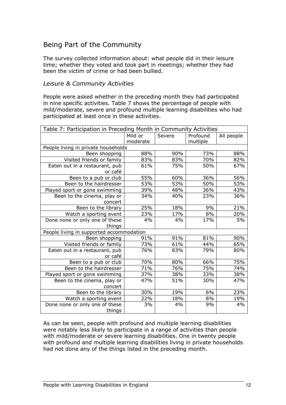### Being Part of the Community

The survey collected information about: what people did in their leisure time; whether they voted and took part in meetings; whether they had been the victim of crime or had been bullied.

#### Leisure & Community Activities

People were asked whether in the preceding month they had participated in nine specific activities. Table 7 shows the percentage of people with mild/moderate, severe and profound multiple learning disabilities who had participated at least once in these activities.

| Table 7: Participation in Preceding Month in Community Activities |                                             |     |          |     |  |  |
|-------------------------------------------------------------------|---------------------------------------------|-----|----------|-----|--|--|
|                                                                   | Profound<br>Mild or<br>All people<br>Severe |     |          |     |  |  |
|                                                                   | moderate                                    |     | multiple |     |  |  |
| People living in private households                               |                                             |     |          |     |  |  |
| Been shopping                                                     | 88%                                         | 90% | 73%      | 88% |  |  |
| Visited friends or family                                         | 83%                                         | 83% | 70%      | 82% |  |  |
| Eaten out in a restaurant, pub                                    | 61%                                         | 75% | 50%      | 67% |  |  |
| or café                                                           |                                             |     |          |     |  |  |
| Been to a pub or club                                             | 55%                                         | 60% | 36%      | 56% |  |  |
| Been to the hairdresser                                           | 53%                                         | 53% | 50%      | 53% |  |  |
| Played sport or gone swimming                                     | 39%                                         | 48% | 36%      | 43% |  |  |
| Been to the cinema, play or                                       | 34%                                         | 40% | 23%      | 36% |  |  |
| concert                                                           |                                             |     |          |     |  |  |
| Been to the library                                               | 25%                                         | 18% | 9%       | 21% |  |  |
| Watch a sporting event                                            | 23%                                         | 17% | 8%       | 20% |  |  |
| Done none or only one of these                                    | 4%                                          | 4%  | 17%      | 5%  |  |  |
| things                                                            |                                             |     |          |     |  |  |
| People living in supported accommodation                          |                                             |     |          |     |  |  |
| Been shopping                                                     | 91%                                         | 91% | 81%      | 90% |  |  |
| Visited friends or family                                         | 73%                                         | 61% | 44%      | 65% |  |  |
| Eaten out in a restaurant, pub                                    | 76%                                         | 83% | 79%      | 80% |  |  |
| or café                                                           |                                             |     |          |     |  |  |
| Been to a pub or club                                             | 70%                                         | 80% | 66%      | 75% |  |  |
| Been to the hairdresser                                           | 71%                                         | 76% | 75%      | 74% |  |  |
| Played sport or gone swimming                                     | 37%                                         | 38% | 33%      | 38% |  |  |
| Been to the cinema, play or                                       | 47%                                         | 51% | 30%      | 47% |  |  |
| concert                                                           |                                             |     |          |     |  |  |
| Been to the library                                               | 30%                                         | 19% | 6%       | 23% |  |  |
| Watch a sporting event                                            | 22%                                         | 18% | 8%       | 19% |  |  |
| Done none or only one of these                                    | 3%                                          | 4%  | 9%       | 4%  |  |  |
| things                                                            |                                             |     |          |     |  |  |

As can be seen, people with profound and multiple learning disabilities were notably less likely to participate in a range of activities than people with mild/moderate or severe learning disabilities. One in twenty people with profound and multiple learning disabilities living in private households had not done any of the things listed in the preceding month.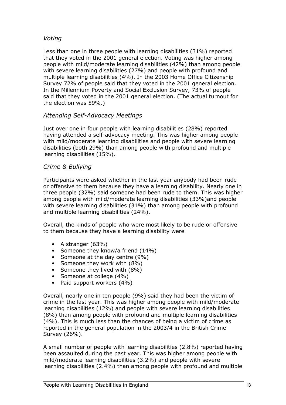### Voting

Less than one in three people with learning disabilities (31%) reported that they voted in the 2001 general election. Voting was higher among people with mild/moderate learning disabilities (42%) than among people with severe learning disabilities (27%) and people with profound and multiple learning disabilities (4%). In the 2003 Home Office Citizenship Survey 72% of people said that they voted in the 2001 general election. In the Millennium Poverty and Social Exclusion Survey, 73% of people said that they voted in the 2001 general election. (The actual turnout for the election was 59%.)

### Attending Self-Advocacy Meetings

Just over one in four people with learning disabilities (28%) reported having attended a self-advocacy meeting. This was higher among people with mild/moderate learning disabilities and people with severe learning disabilities (both 29%) than among people with profound and multiple learning disabilities (15%).

### Crime & Bullying

Participants were asked whether in the last year anybody had been rude or offensive to them because they have a learning disability. Nearly one in three people (32%) said someone had been rude to them. This was higher among people with mild/moderate learning disabilities (33%)and people with severe learning disabilities (31%) than among people with profound and multiple learning disabilities (24%).

Overall, the kinds of people who were most likely to be rude or offensive to them because they have a learning disability were

- A stranger (63%)
- Someone they know/a friend (14%)
- Someone at the day centre (9%)
- Someone they work with (8%)
- Someone they lived with (8%)
- Someone at college (4%)
- Paid support workers (4%)

Overall, nearly one in ten people (9%) said they had been the victim of crime in the last year. This was higher among people with mild/moderate learning disabilities (12%) and people with severe learning disabilities (8%) than among people with profound and multiple learning disabilities (4%). This is much less than the chances of being a victim of crime as reported in the general population in the 2003/4 in the British Crime Survey (26%).

A small number of people with learning disabilities (2.8%) reported having been assaulted during the past year. This was higher among people with mild/moderate learning disabilities (3.2%) and people with severe learning disabilities (2.4%) than among people with profound and multiple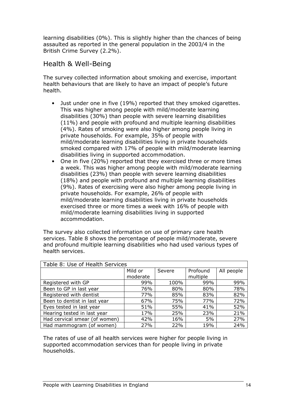learning disabilities (0%). This is slightly higher than the chances of being assaulted as reported in the general population in the 2003/4 in the British Crime Survey (2.2%).

### Health & Well-Being

The survey collected information about smoking and exercise, important health behaviours that are likely to have an impact of people's future health.

- Just under one in five (19%) reported that they smoked cigarettes. This was higher among people with mild/moderate learning disabilities (30%) than people with severe learning disabilities (11%) and people with profound and multiple learning disabilities (4%). Rates of smoking were also higher among people living in private households. For example, 35% of people with mild/moderate learning disabilities living in private households smoked compared with 17% of people with mild/moderate learning disabilities living in supported accommodation.
- One in five (20%) reported that they exercised three or more times a week. This was higher among people with mild/moderate learning disabilities (23%) than people with severe learning disabilities (18%) and people with profound and multiple learning disabilities (9%). Rates of exercising were also higher among people living in private households. For example, 26% of people with mild/moderate learning disabilities living in private households exercised three or more times a week with 16% of people with mild/moderate learning disabilities living in supported accommodation.

The survey also collected information on use of primary care health services. Table 8 shows the percentage of people mild/moderate, severe and profound multiple learning disabilities who had used various types of health services.

| Table 8: Use of Health Services |          |        |          |            |  |
|---------------------------------|----------|--------|----------|------------|--|
|                                 | Mild or  | Severe | Profound | All people |  |
|                                 | moderate |        | multiple |            |  |
| Registered with GP              | 99%      | 100%   | 99%      | 99%        |  |
| Been to GP in last year         | 76%      | 80%    | 80%      | 78%        |  |
| Registered with dentist         | 77%      | 85%    | 83%      | 82%        |  |
| Been to dentist in last year    | 67%      | 75%    | 77%      | 72%        |  |
| Eyes tested in last year        | 51%      | 55%    | 41%      | 52%        |  |
| Hearing tested in last year     | 17%      | 25%    | 23%      | 21%        |  |
| Had cervical smear (of women)   | 42%      | 16%    | 5%       | 27%        |  |
| Had mammogram (of women)        | 27%      | 22%    | 19%      | 24%        |  |

The rates of use of all health services were higher for people living in supported accommodation services than for people living in private households.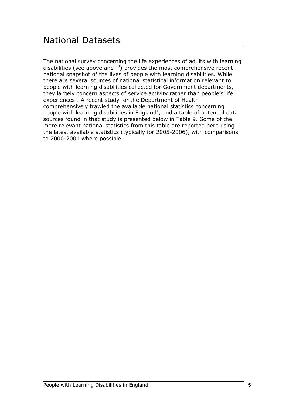The national survey concerning the life experiences of adults with learning disabilities (see above and  $10$ ) provides the most comprehensive recent national snapshot of the lives of people with learning disabilities. While there are several sources of national statistical information relevant to people with learning disabilities collected for Government departments, they largely concern aspects of service activity rather than people's life experiences<sup>1</sup>. A recent study for the Department of Health comprehensively trawled the available national statistics concerning people with learning disabilities in England<sup>1</sup>, and a table of potential data sources found in that study is presented below in Table 9. Some of the more relevant national statistics from this table are reported here using the latest available statistics (typically for 2005-2006), with comparisons to 2000-2001 where possible.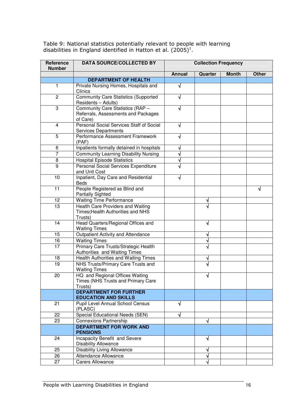Table 9: National statistics potentially relevant to people with learning disabilities in England identified in Hatton et al.  $(2005)^{1}$ .

| Reference<br><b>Number</b> | <b>DATA SOURCE/COLLECTED BY</b>                                                     | <b>Collection Frequency</b> |         |              |              |
|----------------------------|-------------------------------------------------------------------------------------|-----------------------------|---------|--------------|--------------|
|                            |                                                                                     | <b>Annual</b>               | Quarter | <b>Month</b> | <b>Other</b> |
|                            | <b>DEPARTMENT OF HEALTH</b>                                                         |                             |         |              |              |
| $\mathbf{1}$               | Private Nursing Homes, Hospitals and<br>Clinics                                     | $\sqrt{}$                   |         |              |              |
| $\overline{c}$             | <b>Community Care Statistics (Supported</b><br>Residents - Adults)                  | $\sqrt{ }$                  |         |              |              |
| 3                          | Community Care Statistics (RAP -<br>Referrals, Assessments and Packages<br>of Care) |                             |         |              |              |
| 4                          | Personal Social Services Staff of Social<br><b>Services Departments</b>             | V                           |         |              |              |
| 5                          | Performance Assessment Framework<br>(PAF)                                           | √                           |         |              |              |
| 6                          | Inpatients formally detained in hospitals                                           | √                           |         |              |              |
| $\overline{7}$             | <b>Community Learning Disability Nursing</b>                                        | √                           |         |              |              |
| 8                          | <b>Hospital Episode Statistics</b>                                                  | √                           |         |              |              |
| 9                          | Personal Social Services Expenditure<br>and Unit Cost                               | $\sqrt{}$                   |         |              |              |
| 10                         | Inpatient, Day Care and Residential<br><b>Beds</b>                                  | √                           |         |              |              |
| 11                         | People Registered as Blind and<br><b>Partially Sighted</b>                          |                             |         |              | √            |
| 12                         | <b>Waiting Time Performance</b>                                                     |                             | ٦       |              |              |
| 13                         | Health Care Providers and Waiting<br>Times (Health Authorities and NHS<br>Trusts)   |                             |         |              |              |
| 14                         | Head Quarters/Regional Offices and<br><b>Waiting Times</b>                          |                             | √       |              |              |
| 15                         | Outpatient Activity and Attendance                                                  |                             | ٦       |              |              |
| 16                         | <b>Waiting Times</b>                                                                |                             | √       |              |              |
| $\overline{17}$            | Primary Care Trusts/Strategic Health<br>Authorities and Waiting Times               |                             |         |              |              |
| 18                         | Health Authorities and Waiting Times                                                |                             | ٦       |              |              |
| 19                         | NHS Trusts/Primary Care Trusts and<br><b>Waiting Times</b>                          |                             |         |              |              |
| 20                         | HQ and Regional Offices Waiting<br>Times (NHS Trusts and Primary Care<br>Trusts)    |                             | √       |              |              |
|                            | <b>DEPARTMENT FOR FURTHER</b><br><b>EDUCATION AND SKILLS</b>                        |                             |         |              |              |
| 21                         | Pupil Level Annual School Census<br>(PLASC)                                         | √                           |         |              |              |
| 22                         | <b>Special Educational Needs (SEN)</b>                                              | √                           |         |              |              |
| 23                         | <b>Connexions Partnership</b>                                                       |                             | √       |              |              |
|                            | <b>DEPARTMENT FOR WORK AND</b><br><b>PENSIONS</b>                                   |                             |         |              |              |
| 24                         | Incapacity Benefit and Severe<br><b>Disability Allowance</b>                        |                             | √       |              |              |
| 25                         | <b>Disability Living Allowance</b>                                                  |                             |         |              |              |
| 26                         | <b>Attendance Allowance</b>                                                         |                             | ٦I      |              |              |
| 27                         | <b>Carers Allowance</b>                                                             |                             | √       |              |              |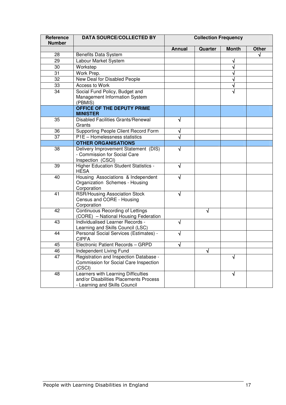| Reference<br><b>Number</b> | <b>DATA SOURCE/COLLECTED BY</b>                                                                                | <b>Collection Frequency</b> |         |              |              |
|----------------------------|----------------------------------------------------------------------------------------------------------------|-----------------------------|---------|--------------|--------------|
|                            |                                                                                                                | <b>Annual</b>               | Quarter | <b>Month</b> | <b>Other</b> |
| 28                         | Benefits Data System                                                                                           |                             |         |              | √            |
| 29                         | Labour Market System                                                                                           |                             |         |              |              |
| 30                         | Workstep                                                                                                       |                             |         |              |              |
| 31                         | Work Prep.                                                                                                     |                             |         |              |              |
| 32                         | New Deal for Disabled People                                                                                   |                             |         | √            |              |
| 33                         | Access to Work                                                                                                 |                             |         | √            |              |
| 34                         | Social Fund Policy, Budget and<br>Management Information System<br>(PBMIS)                                     |                             |         | √            |              |
|                            | <b>OFFICE OF THE DEPUTY PRIME</b><br><b>MINISTER</b>                                                           |                             |         |              |              |
| 35                         | <b>Disabled Facilities Grants/Renewal</b><br>Grants                                                            | √                           |         |              |              |
| 36                         | Supporting People Client Record Form                                                                           | √                           |         |              |              |
| $\overline{37}$            | P1E - Homelessness statistics                                                                                  | $\sqrt{}$                   |         |              |              |
|                            | <b>OTHER ORGANISATIONS</b>                                                                                     |                             |         |              |              |
| $\overline{38}$            | Delivery Improvement Statement (DIS)<br>- Commission for Social Care<br>Inspection (CSCI)                      | √                           |         |              |              |
| 39                         | Higher Education Student Statistics -<br><b>HESA</b>                                                           | √                           |         |              |              |
| 40                         | Housing Associations & Independent<br>Organization Schemes - Housing<br>Corporation                            | √                           |         |              |              |
| 41                         | <b>RSR/Housing Association Stock</b><br>Census and CORE - Housing<br>Corporation                               | $\sqrt{ }$                  |         |              |              |
| 42                         | Continuous Recording of Lettings<br>(CORE) - National Housing Federation                                       |                             | √       |              |              |
| 43                         | Individualised Learner Records -<br>Learning and Skills Council (LSC)                                          | √                           |         |              |              |
| 44                         | Personal Social Services (Estimates) -<br><b>CIPFA</b>                                                         | √                           |         |              |              |
| 45                         | Electronic Patient Records - GRPD                                                                              |                             |         |              |              |
| 46                         | Independent Living Fund                                                                                        |                             | √       |              |              |
| 47                         | Registration and Inspection Database -<br>Commission for Social Care Inspection<br>(CSCI)                      |                             |         | √            |              |
| 48                         | Learners with Learning Difficulties<br>and/or Disabilities Placements Process<br>- Learning and Skills Council |                             |         | √            |              |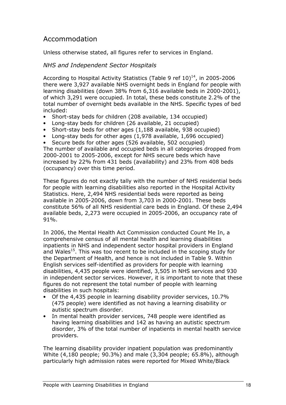### Accommodation

Unless otherwise stated, all figures refer to services in England.

### NHS and Independent Sector Hospitals

According to Hospital Activity Statistics (Table 9 ref  $10)^{14}$ , in 2005-2006 there were 3,927 available NHS overnight beds in England for people with learning disabilities (down 38% from 6,316 available beds in 2000-2001), of which 3,291 were occupied. In total, these beds constitute 2.2% of the total number of overnight beds available in the NHS. Specific types of bed included:

- Short-stay beds for children (208 available, 134 occupied)
- Long-stay beds for children (26 available, 21 occupied)
- Short-stay beds for other ages (1,188 available, 938 occupied)
- Long-stay beds for other ages (1,978 available, 1,696 occupied)
- Secure beds for other ages (526 available, 502 occupied)

The number of available and occupied beds in all categories dropped from 2000-2001 to 2005-2006, except for NHS secure beds which have increased by 22% from 431 beds (availability) and 23% from 408 beds (occupancy) over this time period.

These figures do not exactly tally with the number of NHS residential beds for people with learning disabilities also reported in the Hospital Activity Statistics. Here, 2,494 NHS residential beds were reported as being available in 2005-2006, down from 3,703 in 2000-2001. These beds constitute 56% of all NHS residential care beds in England. Of these 2,494 available beds, 2,273 were occupied in 2005-2006, an occupancy rate of 91%.

In 2006, the Mental Health Act Commission conducted Count Me In, a comprehensive census of all mental health and learning disabilities inpatients in NHS and independent sector hospital providers in England and Wales<sup>15</sup>. This was too recent to be included in the scoping study for the Department of Health, and hence is not included in Table 9. Within English services self-identified as providers for people with learning disabilities, 4,435 people were identified, 3,505 in NHS services and 930 in independent sector services. However, it is important to note that these figures do not represent the total number of people with learning disabilities in such hospitals:

- Of the 4,435 people in learning disability provider services, 10.7% (475 people) were identified as not having a learning disability or autistic spectrum disorder.
- In mental health provider services, 748 people were identified as having learning disabilities and 142 as having an autistic spectrum disorder, 3% of the total number of inpatients in mental health service providers.

The learning disability provider inpatient population was predominantly White (4,180 people; 90.3%) and male (3,304 people; 65.8%), although particularly high admission rates were reported for Mixed White/Black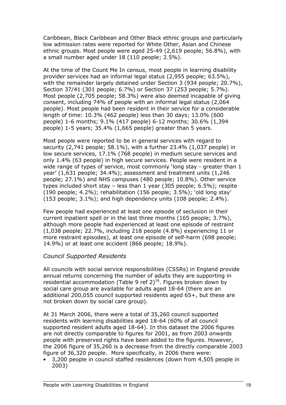Caribbean, Black Caribbean and Other Black ethnic groups and particularly low admission rates were reported for White Other, Asian and Chinese ethnic groups. Most people were aged 25-49 (2,619 people; 56.8%), with a small number aged under 18 (110 people; 2.5%).

At the time of the Count Me In census, most people in learning disability provider services had an informal legal status (2,955 people; 63.5%), with the remainder largely detained under Section 3 (934 people: 20.7%), Section 37/41 (301 people; 6.7%) or Section 37 (253 people; 5.7%). Most people (2,705 people; 58.3%) were also deemed incapable of giving consent, including 74% of people with an informal legal status (2,064 people). Most people had been resident in their service for a considerable length of time: 10.3% (462 people) less than 30 days; 13.0% (600 people) 1-6 months; 9.1% (417 people) 6-12 months; 30.6% (1,394 people) 1-5 years; 35.4% (1,665 people) greater than 5 years.

Most people were reported to be in general services with regard to security (2,741 people; 58.1%), with a further 23.4% (1,037 people) in low secure services, 17.1% (768 people) in medium secure services and only 1.4% (63 people) in high secure services. People were resident in a wide range of types of service, most commonly 'long stay - greater than 1 year' (1,631 people; 34.4%); assessment and treatment units (1,246 people; 27.1%) and NHS campuses (480 people; 10.8%). Other service types included short stay – less than 1 year (305 people; 6.5%); respite (190 people; 4.2%); rehabilitation (156 people; 3.5%); 'old long stay' (153 people; 3.1%); and high dependency units (108 people; 2.4%).

Few people had experienced at least one episode of seclusion in their current inpatient spell or in the last three months (165 people; 3.7%), although more people had experienced at least one episode of restraint (1,038 people; 22.7%, including 218 people (4.8%) experiencing 11 or more restraint episodes), at least one episode of self-harm (698 people; 14.9%) or at least one accident (866 people; 18.9%).

### Council Supported Residents

All councils with social service responsibilities (CSSRs) in England provide annual returns concerning the number of adults they are supporting in residential accommodation (Table 9 ref  $2)^{16}$ . Figures broken down by social care group are available for adults aged 18-64 (there are an additional 200,055 council supported residents aged 65+, but these are not broken down by social care group).

At 31 March 2006, there were a total of 35,260 council supported residents with learning disabilities aged 18-64 (60% of all council supported resident adults aged 18-64). In this dataset the 2006 figures are not directly comparable to figures for 2001, as from 2003 onwards people with preserved rights have been added to the figures. However, the 2006 figure of 35,260 is a decrease from the directly comparable 2003 figure of 36,320 people. More specifically, in 2006 there were:

• 3,200 people in council staffed residences (down from 4,505 people in 2003)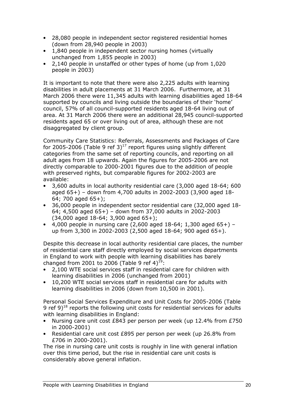- 28,080 people in independent sector registered residential homes (down from 28,940 people in 2003)
- 1,840 people in independent sector nursing homes (virtually unchanged from 1,855 people in 2003)
- 2,140 people in unstaffed or other types of home (up from 1,020 people in 2003)

It is important to note that there were also 2,225 adults with learning disabilities in adult placements at 31 March 2006. Furthermore, at 31 March 2006 there were 11,345 adults with learning disabilities aged 18-64 supported by councils and living outside the boundaries of their 'home' council, 57% of all council-supported residents aged 18-64 living out of area. At 31 March 2006 there were an additional 28,945 council-supported residents aged 65 or over living out of area, although these are not disaggregated by client group.

Community Care Statistics: Referrals, Assessments and Packages of Care for 2005-2006 (Table 9 ref 3)<sup>17</sup> report figures using slightly different categories from the same set of reporting councils, and reporting on all adult ages from 18 upwards. Again the figures for 2005-2006 are not directly comparable to 2000-2001 figures due to the addition of people with preserved rights, but comparable figures for 2002-2003 are available:

- 3,600 adults in local authority residential care (3,000 aged 18-64; 600 aged 65+) – down from 4,700 adults in 2002-2003 (3,900 aged 18- 64; 700 aged 65+);
- 36,000 people in independent sector residential care (32,000 aged 18- 64; 4,500 aged 65+) – down from 37,000 adults in 2002-2003 (34,000 aged 18-64; 3,900 aged 65+);
- 4,000 people in nursing care  $(2,600$  aged  $18-64$ ; 1,300 aged  $65+)$  up from 3,300 in 2002-2003 (2,500 aged 18-64; 900 aged 65+).

Despite this decrease in local authority residential care places, the number of residential care staff directly employed by social services departments in England to work with people with learning disabilities has barely changed from 2001 to 2006 (Table 9 ref 4)<sup>19</sup>:

- 2,100 WTE social services staff in residential care for children with learning disabilities in 2006 (unchanged from 2001)
- 10,200 WTE social services staff in residential care for adults with learning disabilities in 2006 (down from 10,500 in 2001).

Personal Social Services Expenditure and Unit Costs for 2005-2006 (Table 9 ref  $9^{18}$  reports the following unit costs for residential services for adults with learning disabilities in England:

- Nursing care unit cost £843 per person per week (up 12.4% from £750 in 2000-2001)
- Residential care unit cost £895 per person per week (up 26.8% from £706 in 2000-2001).

The rise in nursing care unit costs is roughly in line with general inflation over this time period, but the rise in residential care unit costs is considerably above general inflation.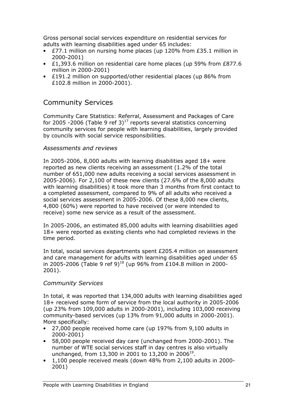Gross personal social services expenditure on residential services for adults with learning disabilities aged under 65 includes:

- £77.1 million on nursing home places (up 120% from £35.1 million in 2000-2001)
- £1,393.6 million on residential care home places (up 59% from £877.6 million in 2000-2001)
- £191.2 million on supported/other residential places (up 86% from £102.8 million in 2000-2001).

### Community Services

Community Care Statistics: Referral, Assessment and Packages of Care for 2005 -2006 (Table 9 ref 3)<sup>17</sup> reports several statistics concerning community services for people with learning disabilities, largely provided by councils with social service responsibilities.

#### Assessments and reviews

In 2005-2006, 8,000 adults with learning disabilities aged 18+ were reported as new clients receiving an assessment (1.2% of the total number of 651,000 new adults receiving a social services assessment in 2005-2006). For 2,100 of these new clients (27.6% of the 8,000 adults with learning disabilities) it took more than 3 months from first contact to a completed assessment, compared to 9% of all adults who received a social services assessment in 2005-2006. Of these 8,000 new clients, 4,800 (60%) were reported to have received (or were intended to receive) some new service as a result of the assessment.

In 2005-2006, an estimated 85,000 adults with learning disabilities aged 18+ were reported as existing clients who had completed reviews in the time period.

In total, social services departments spent £205.4 million on assessment and care management for adults with learning disabilities aged under 65 in 2005-2006 (Table 9 ref 9)<sup>18</sup> (up 96% from £104.8 million in 2000-2001).

#### Community Services

In total, it was reported that 134,000 adults with learning disabilities aged 18+ received some form of service from the local authority in 2005-2006 (up 23% from 109,000 adults in 2000-2001), including 103,000 receiving community-based services (up 13% from 91,000 adults in 2000-2001). More specifically:

- 27,000 people received home care (up 197% from 9,100 adults in 2000-2001)
- 58,000 people received day care (unchanged from 2000-2001). The number of WTE social services staff in day centres is also virtually unchanged, from 13,300 in 2001 to 13,200 in 2006<sup>19</sup>.
- 1,100 people received meals (down 48% from 2,100 adults in 2000- 2001)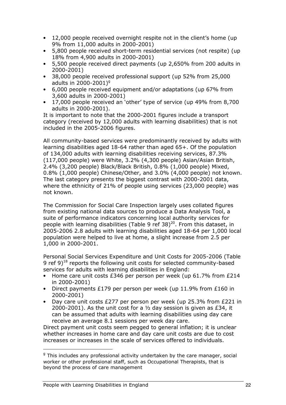- 12,000 people received overnight respite not in the client's home (up 9% from 11,000 adults in 2000-2001)
- 5,800 people received short-term residential services (not respite) (up 18% from 4,900 adults in 2000-2001)
- 5,500 people received direct payments (up 2,650% from 200 adults in 2000-2001)
- 38,000 people received professional support (up 52% from 25,000 adults in 2000-2001)<sup>9</sup>
- 6,000 people received equipment and/or adaptations (up 67% from 3,600 adults in 2000-2001)
- 17,000 people received an 'other' type of service (up 49% from 8,700 adults in 2000-2001).

It is important to note that the 2000-2001 figures include a transport category (received by 12,000 adults with learning disabilities) that is not included in the 2005-2006 figures.

All community-based services were predominantly received by adults with learning disabilities aged 18-64 rather than aged 65+. Of the population of 134,000 adults with learning disabilities receiving services, 87.3% (117,000 people) were White, 3.2% (4,300 people) Asian/Asian British, 2.4% (3,200 people) Black/Black British, 0.8% (1,000 people) Mixed, 0.8% (1,000 people) Chinese/Other, and 3.0% (4,000 people) not known. The last category presents the biggest contrast with 2000-2001 data, where the ethnicity of 21% of people using services (23,000 people) was not known.

The Commission for Social Care Inspection largely uses collated figures from existing national data sources to produce a Data Analysis Tool, a suite of performance indicators concerning local authority services for people with learning disabilities (Table 9 ref  $38)^{20}$ . From this dataset, in 2005-2006 2.8 adults with learning disabilities aged 18-64 per 1,000 local population were helped to live at home, a slight increase from 2.5 per 1,000 in 2000-2001.

Personal Social Services Expenditure and Unit Costs for 2005-2006 (Table 9 ref  $9)^{18}$  reports the following unit costs for selected community-based services for adults with learning disabilities in England:

- Home care unit costs £346 per person per week (up 61.7% from £214 in 2000-2001)
- Direct payments £179 per person per week (up 11.9% from £160 in 2000-2001)
- Day care unit costs £277 per person per week (up 25.3% from £221 in 2000-2001). As the unit cost for a  $\frac{1}{2}$  day session is given as £34, it can be assumed that adults with learning disabilities using day care receive an average 8.1 sessions per week day care.

Direct payment unit costs seem pegged to general inflation; it is unclear whether increases in home care and day care unit costs are due to cost increases or increases in the scale of services offered to individuals.

1

<sup>&</sup>lt;sup>g</sup> This includes any professional activity undertaken by the care manager, social worker or other professional staff, such as Occupational Therapists, that is beyond the process of care management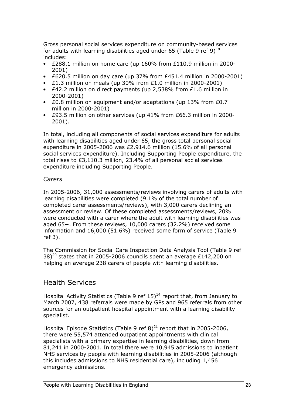Gross personal social services expenditure on community-based services for adults with learning disabilities aged under 65 (Table 9 ref 9)<sup>18</sup> includes:

- £288.1 million on home care (up 160% from £110.9 million in 2000- 2001)
- £620.5 million on day care (up 37% from £451.4 million in 2000-2001)
- £1.3 million on meals (up 30% from £1.0 million in 2000-2001)
- $E42.2$  million on direct payments (up 2,538% from £1.6 million in 2000-2001)
- £0.8 million on equipment and/or adaptations (up 13% from £0.7 million in 2000-2001)
- £93.5 million on other services (up 41% from £66.3 million in 2000- 2001).

In total, including all components of social services expenditure for adults with learning disabilities aged under 65, the gross total personal social expenditure in 2005-2006 was £2,914.6 million (15.6% of all personal social services expenditure). Including Supporting People expenditure, the total rises to £3,110.3 million, 23.4% of all personal social services expenditure including Supporting People.

#### Carers

In 2005-2006, 31,000 assessments/reviews involving carers of adults with learning disabilities were completed (9.1% of the total number of completed carer assessments/reviews), with 3,000 carers declining an assessment or review. Of these completed assessments/reviews, 20% were conducted with a carer where the adult with learning disabilities was aged 65+. From these reviews, 10,000 carers (32.2%) received some information and 16,000 (51.6%) received some form of service (Table 9 ref 3).

The Commission for Social Care Inspection Data Analysis Tool (Table 9 ref  $38$ <sup>20</sup> states that in 2005-2006 councils spent an average £142,200 on helping an average 238 carers of people with learning disabilities.

### Health Services

Hospital Activity Statistics (Table 9 ref  $15)^{14}$  report that, from January to March 2007, 438 referrals were made by GPs and 965 referrals from other sources for an outpatient hospital appointment with a learning disability specialist.

Hospital Episode Statistics (Table 9 ref  $8)^{21}$  report that in 2005-2006, there were 55,574 attended outpatient appointments with clinical specialists with a primary expertise in learning disabilities, down from 81,241 in 2000-2001. In total there were 10,945 admissions to inpatient NHS services by people with learning disabilities in 2005-2006 (although this includes admissions to NHS residential care), including 1,456 emergency admissions.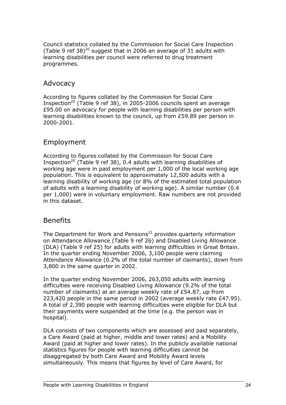Council statistics collated by the Commission for Social Care Inspection (Table 9 ref 38) $^{20}$  suggest that in 2006 an average of 31 adults with learning disabilities per council were referred to drug treatment programmes.

### Advocacy

According to figures collated by the Commission for Social Care Inspection<sup>20</sup> (Table 9 ref 38), in 2005-2006 councils spent an average £95.00 on advocacy for people with learning disabilities per person with learning disabilities known to the council, up from £59.89 per person in 2000-2001.

### Employment

According to figures collated by the Commission for Social Care Inspection<sup>20</sup> (Table 9 ref 38), 0.4 adults with learning disabilities of working age were in paid employment per 1,000 of the local working age population. This is equivalent to approximately 12,500 adults with a learning disability of working age (or 8% of the estimated total population of adults with a learning disability of working age). A similar number (0.4 per 1,000) were in voluntary employment. Raw numbers are not provided in this dataset.

### Benefits

The Department for Work and Pensions<sup>22</sup> provides quarterly information on Attendance Allowance (Table 9 ref 26) and Disabled Living Allowance (DLA) (Table 9 ref 25) for adults with learning difficulties in Great Britain. In the quarter ending November 2006, 3,100 people were claiming Attendance Allowance (0.2% of the total number of claimants), down from 3,800 in the same quarter in 2002.

In the quarter ending November 2006, 263,050 adults with learning difficulties were receiving Disabled Living Allowance (9.2% of the total number of claimants) at an average weekly rate of £54.87, up from 223,420 people in the same period in 2002 (average weekly rate £47.95). A total of 2,390 people with learning difficulties were eligible for DLA but their payments were suspended at the time (e.g. the person was in hospital).

DLA consists of two components which are assessed and paid separately, a Care Award (paid at higher, middle and lower rates) and a Mobility Award (paid at higher and lower rates). In the publicly available national statistics figures for people with learning difficulties cannot be disaggregated by both Care Award and Mobility Award levels simultaneously. This means that figures by level of Care Award, for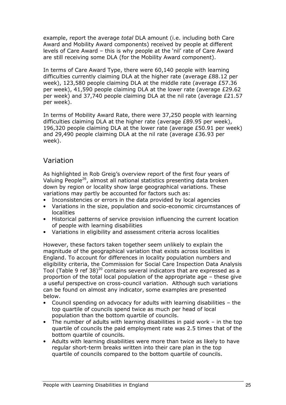example, report the average total DLA amount (i.e. including both Care Award and Mobility Award components) received by people at different levels of Care Award – this is why people at the 'nil' rate of Care Award are still receiving some DLA (for the Mobility Award component).

In terms of Care Award Type, there were 60,140 people with learning difficulties currently claiming DLA at the higher rate (average £88.12 per week), 123,580 people claiming DLA at the middle rate (average £57.36 per week), 41,590 people claiming DLA at the lower rate (average £29.62 per week) and 37,740 people claiming DLA at the nil rate (average £21.57 per week).

In terms of Mobility Award Rate, there were 37,250 people with learning difficulties claiming DLA at the higher rate (average  $E89.95$  per week), 196,320 people claiming DLA at the lower rate (average £50.91 per week) and 29,490 people claiming DLA at the nil rate (average £36.93 per week).

### Variation

As highlighted in Rob Greig's overview report of the first four years of Valuing People<sup>26</sup>, almost all national statistics presenting data broken down by region or locality show large geographical variations. These variations may partly be accounted for factors such as:

- Inconsistencies or errors in the data provided by local agencies
- Variations in the size, population and socio-economic circumstances of localities
- Historical patterns of service provision influencing the current location of people with learning disabilities
- Variations in eligibility and assessment criteria across localities

However, these factors taken together seem unlikely to explain the magnitude of the geographical variation that exists across localities in England. To account for differences in locality population numbers and eligibility criteria, the Commission for Social Care Inspection Data Analysis Tool (Table 9 ref 38)<sup>20</sup> contains several indicators that are expressed as a proportion of the total local population of the appropriate age – these give a useful perspective on cross-council variation. Although such variations can be found on almost any indicator, some examples are presented below.

- Council spending on advocacy for adults with learning disabilities the top quartile of councils spend twice as much per head of local population than the bottom quartile of councils.
- The number of adults with learning disabilities in paid work in the top quartile of councils the paid employment rate was 2.5 times that of the bottom quartile of councils.
- Adults with learning disabilities were more than twice as likely to have regular short-term breaks written into their care plan in the top quartile of councils compared to the bottom quartile of councils.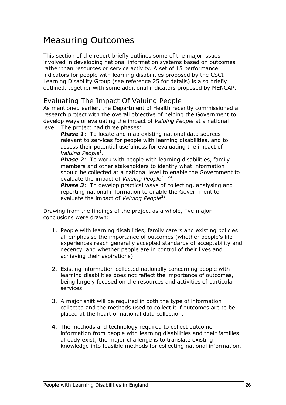## Measuring Outcomes

This section of the report briefly outlines some of the major issues involved in developing national information systems based on outcomes rather than resources or service activity. A set of 15 performance indicators for people with learning disabilities proposed by the CSCI Learning Disability Group (see reference 25 for details) is also briefly outlined, together with some additional indicators proposed by MENCAP.

### Evaluating The Impact Of Valuing People

As mentioned earlier, the Department of Health recently commissioned a research project with the overall objective of helping the Government to develop ways of evaluating the impact of Valuing People at a national level. The project had three phases:

**Phase 1:** To locate and map existing national data sources relevant to services for people with learning disabilities, and to assess their potential usefulness for evaluating the impact of Valuing People<sup>1</sup>.

**Phase 2:** To work with people with learning disabilities, family members and other stakeholders to identify what information should be collected at a national level to enable the Government to evaluate the impact of Valuing People<sup>23, 24</sup>.

**Phase 3:** To develop practical ways of collecting, analysing and reporting national information to enable the Government to evaluate the impact of Valuing People<sup>25</sup>.

Drawing from the findings of the project as a whole, five major conclusions were drawn:

- 1. People with learning disabilities, family carers and existing policies all emphasise the importance of outcomes (whether people's life experiences reach generally accepted standards of acceptability and decency, and whether people are in control of their lives and achieving their aspirations).
- 2. Existing information collected nationally concerning people with learning disabilities does not reflect the importance of outcomes, being largely focused on the resources and activities of particular services.
- 3. A major shift will be required in both the type of information collected and the methods used to collect it if outcomes are to be placed at the heart of national data collection.
- 4. The methods and technology required to collect outcome information from people with learning disabilities and their families already exist; the major challenge is to translate existing knowledge into feasible methods for collecting national information.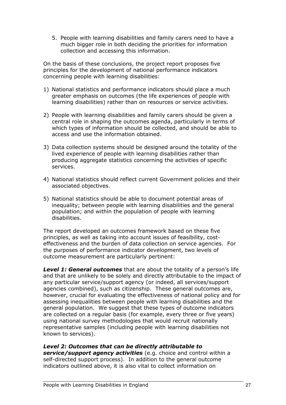5. People with learning disabilities and family carers need to have a much bigger role in both deciding the priorities for information collection and accessing this information.

On the basis of these conclusions, the project report proposes five principles for the development of national performance indicators concerning people with learning disabilities:

- 1) National statistics and performance indicators should place a much greater emphasis on outcomes (the life experiences of people with learning disabilities) rather than on resources or service activities.
- 2) People with learning disabilities and family carers should be given a central role in shaping the outcomes agenda, particularly in terms of which types of information should be collected, and should be able to access and use the information obtained.
- 3) Data collection systems should be designed around the totality of the lived experience of people with learning disabilities rather than producing aggregate statistics concerning the activities of specific services.
- 4) National statistics should reflect current Government policies and their associated objectives.
- 5) National statistics should be able to document potential areas of inequality; between people with learning disabilities and the general population; and within the population of people with learning disabilities.

The report developed an outcomes framework based on these five principles, as well as taking into account issues of feasibility, costeffectiveness and the burden of data collection on service agencies. For the purposes of performance indicator development, two levels of outcome measurement are particularly pertinent:

**Level 1: General outcomes** that are about the totality of a person's life and that are unlikely to be solely and directly attributable to the impact of any particular service/support agency (or indeed, all services/support agencies combined), such as citizenship. These general outcomes are, however, crucial for evaluating the effectiveness of national policy and for assessing inequalities between people with learning disabilities and the general population. We suggest that these types of outcome indicators are collected on a regular basis (for example, every three or five years) using national survey methodologies that would recruit nationally representative samples (including people with learning disabilities not known to services).

#### Level 2: Outcomes that can be directly attributable to

service/support agency activities (e.g. choice and control within a self-directed support process). In addition to the general outcome indicators outlined above, it is also vital to collect information on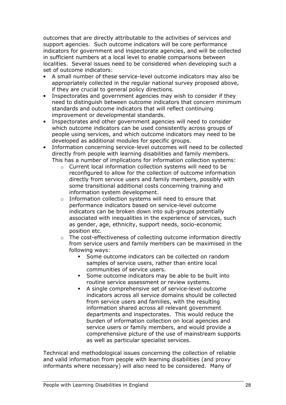outcomes that are directly attributable to the activities of services and support agencies. Such outcome indicators will be core performance indicators for government and inspectorate agencies, and will be collected in sufficient numbers at a local level to enable comparisons between localities. Several issues need to be considered when developing such a set of outcome indicators:

- A small number of these service-level outcome indicators may also be appropriately collected in the regular national survey proposed above, if they are crucial to general policy directions.
- Inspectorates and government agencies may wish to consider if they need to distinguish between outcome indicators that concern minimum standards and outcome indicators that will reflect continuing improvement or developmental standards.
- Inspectorates and other government agencies will need to consider which outcome indicators can be used consistently across groups of people using services, and which outcome indicators may need to be developed as additional modules for specific groups.
- Information concerning service-level outcomes will need to be collected directly from people with learning disabilities and family members. This has a number of implications for information collection systems:
	- o Current local information collection systems will need to be reconfigured to allow for the collection of outcome information directly from service users and family members, possibly with some transitional additional costs concerning training and information system development.
	- o Information collection systems will need to ensure that performance indicators based on service-level outcome indicators can be broken down into sub-groups potentially associated with inequalities in the experience of services, such as gender, age, ethnicity, support needs, socio-economic position etc.
	- The cost-effectiveness of collecting outcome information directly from service users and family members can be maximised in the following ways:
		- Some outcome indicators can be collected on random samples of service users, rather than entire local communities of service users.
		- Some outcome indicators may be able to be built into routine service assessment or review systems.
		- A single comprehensive set of service-level outcome indicators across all service domains should be collected from service users and families, with the resulting information shared across all relevant government departments and inspectorates. This would reduce the burden of information collection on local agencies and service users or family members, and would provide a comprehensive picture of the use of mainstream supports as well as particular specialist services.

Technical and methodological issues concerning the collection of reliable and valid information from people with learning disabilities (and proxy informants where necessary) will also need to be considered. Many of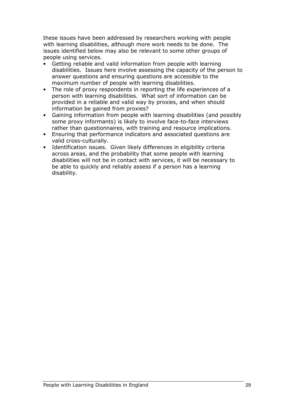these issues have been addressed by researchers working with people with learning disabilities, although more work needs to be done. The issues identified below may also be relevant to some other groups of people using services.

- Getting reliable and valid information from people with learning disabilities. Issues here involve assessing the capacity of the person to answer questions and ensuring questions are accessible to the maximum number of people with learning disabilities.
- The role of proxy respondents in reporting the life experiences of a person with learning disabilities. What sort of information can be provided in a reliable and valid way by proxies, and when should information be gained from proxies?
- Gaining information from people with learning disabilities (and possibly some proxy informants) is likely to involve face-to-face interviews rather than questionnaires, with training and resource implications.
- Ensuring that performance indicators and associated questions are valid cross-culturally.
- Identification issues. Given likely differences in eligibility criteria across areas, and the probability that some people with learning disabilities will not be in contact with services, it will be necessary to be able to quickly and reliably assess if a person has a learning disability.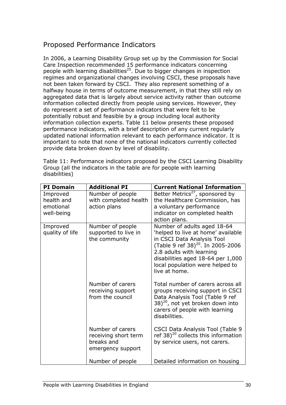### Proposed Performance Indicators

In 2006, a Learning Disability Group set up by the Commission for Social Care Inspection recommended 15 performance indicators concerning people with learning disabilities<sup>25</sup>. Due to bigger changes in inspection regimes and organizational changes involving CSCI, these proposals have not been taken forward by CSCI. They also represent something of a halfway house in terms of outcome measurement, in that they still rely on aggregated data that is largely about service activity rather than outcome information collected directly from people using services. However, they do represent a set of performance indicators that were felt to be potentially robust and feasible by a group including local authority information collection experts. Table 11 below presents these proposed performance indicators, with a brief description of any current regularly updated national information relevant to each performance indicator. It is important to note that none of the national indicators currently collected provide data broken down by level of disability.

Table 11: Performance indicators proposed by the CSCI Learning Disability Group (all the indicators in the table are for people with learning disabilities)

| <b>PI Domain</b>                                  | <b>Additional PI</b>                                                        | <b>Current National Information</b>                                                                                                                                                                                                                                   |
|---------------------------------------------------|-----------------------------------------------------------------------------|-----------------------------------------------------------------------------------------------------------------------------------------------------------------------------------------------------------------------------------------------------------------------|
| Improved<br>health and<br>emotional<br>well-being | Number of people<br>with completed health<br>action plans                   | Better Metrics <sup>27</sup> , sponsored by<br>the Healthcare Commission, has<br>a voluntary performance<br>indicator on completed health<br>action plans.                                                                                                            |
| Improved<br>quality of life                       | Number of people<br>supported to live in<br>the community                   | Number of adults aged 18-64<br>'helped to live at home' available<br>in CSCI Data Analysis Tool<br>(Table 9 ref 38) <sup>20</sup> . In 2005-2006<br>2.8 adults with learning<br>disabilities aged 18-64 per 1,000<br>local population were helped to<br>live at home. |
|                                                   | Number of carers<br>receiving support<br>from the council                   | Total number of carers across all<br>groups receiving support in CSCI<br>Data Analysis Tool (Table 9 ref<br>38) <sup>20</sup> , not yet broken down into<br>carers of people with learning<br>disabilities.                                                           |
|                                                   | Number of carers<br>receiving short term<br>breaks and<br>emergency support | <b>CSCI Data Analysis Tool (Table 9</b><br>ref 38) $^{20}$ collects this information<br>by service users, not carers.                                                                                                                                                 |
|                                                   | Number of people                                                            | Detailed information on housing                                                                                                                                                                                                                                       |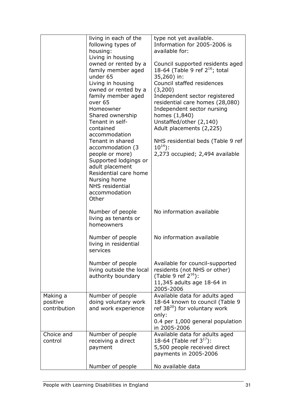|                                      | living in each of the<br>following types of<br>housing:<br>Living in housing<br>owned or rented by a<br>family member aged<br>under 65<br>Living in housing<br>owned or rented by a<br>family member aged<br>over <sub>65</sub><br>Homeowner<br>Shared ownership<br>Tenant in self-<br>contained<br>accommodation<br>Tenant in shared<br>accommodation (3<br>people or more)<br>Supported lodgings or<br>adult placement<br>Residential care home<br>Nursing home<br>NHS residential<br>accommodation<br>Other | type not yet available.<br>Information for 2005-2006 is<br>available for:<br>Council supported residents aged<br>18-64 (Table 9 ref $2^{16}$ ; total<br>35,260) in:<br>Council staffed residences<br>(3,200)<br>Independent sector registered<br>residential care homes (28,080)<br>Independent sector nursing<br>homes (1,840)<br>Unstaffed/other (2,140)<br>Adult placements (2,225)<br>NHS residential beds (Table 9 ref<br>$10^{14}$ :<br>2,273 occupied; 2,494 available |
|--------------------------------------|----------------------------------------------------------------------------------------------------------------------------------------------------------------------------------------------------------------------------------------------------------------------------------------------------------------------------------------------------------------------------------------------------------------------------------------------------------------------------------------------------------------|-------------------------------------------------------------------------------------------------------------------------------------------------------------------------------------------------------------------------------------------------------------------------------------------------------------------------------------------------------------------------------------------------------------------------------------------------------------------------------|
|                                      | Number of people<br>living as tenants or<br>homeowners                                                                                                                                                                                                                                                                                                                                                                                                                                                         | No information available                                                                                                                                                                                                                                                                                                                                                                                                                                                      |
|                                      | Number of people<br>living in residential<br>services                                                                                                                                                                                                                                                                                                                                                                                                                                                          | No information available                                                                                                                                                                                                                                                                                                                                                                                                                                                      |
|                                      | Number of people<br>living outside the local<br>authority boundary                                                                                                                                                                                                                                                                                                                                                                                                                                             | Available for council-supported<br>residents (not NHS or other)<br>(Table 9 ref $2^{16}$ ):<br>11,345 adults age 18-64 in<br>2005-2006                                                                                                                                                                                                                                                                                                                                        |
| Making a<br>positive<br>contribution | Number of people<br>doing voluntary work<br>and work experience                                                                                                                                                                                                                                                                                                                                                                                                                                                | Available data for adults aged<br>18-64 known to council (Table 9<br>ref $38^{20}$ ) for voluntary work<br>only:<br>0.4 per 1,000 general population<br>in 2005-2006                                                                                                                                                                                                                                                                                                          |
| Choice and<br>control                | Number of people<br>receiving a direct<br>payment                                                                                                                                                                                                                                                                                                                                                                                                                                                              | Available data for adults aged<br>18-64 (Table ref $3^{17}$ ):<br>5,500 people received direct<br>payments in 2005-2006                                                                                                                                                                                                                                                                                                                                                       |
|                                      | Number of people                                                                                                                                                                                                                                                                                                                                                                                                                                                                                               | No available data                                                                                                                                                                                                                                                                                                                                                                                                                                                             |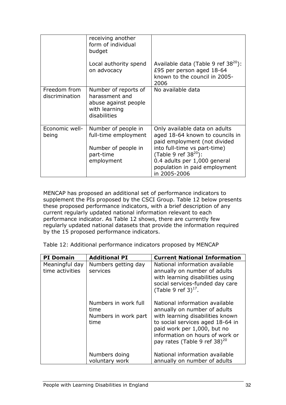|                                | receiving another<br>form of individual<br>budget                                               |                                                                                                                                                                                                                                                |
|--------------------------------|-------------------------------------------------------------------------------------------------|------------------------------------------------------------------------------------------------------------------------------------------------------------------------------------------------------------------------------------------------|
|                                | Local authority spend<br>on advocacy                                                            | Available data (Table 9 ref $38^{20}$ ):<br>£95 per person aged 18-64<br>known to the council in 2005-<br>2006                                                                                                                                 |
| Freedom from<br>discrimination | Number of reports of<br>harassment and<br>abuse against people<br>with learning<br>disabilities | No available data                                                                                                                                                                                                                              |
| Economic well-<br>being        | Number of people in<br>full-time employment<br>Number of people in<br>part-time<br>employment   | Only available data on adults<br>aged 18-64 known to councils in<br>paid employment (not divided<br>into full-time vs part-time)<br>(Table 9 ref $38^{20}$ ):<br>0.4 adults per 1,000 general<br>population in paid employment<br>in 2005-2006 |

MENCAP has proposed an additional set of performance indicators to supplement the PIs proposed by the CSCI Group. Table 12 below presents these proposed performance indicators, with a brief description of any current regularly updated national information relevant to each performance indicator. As Table 12 shows, there are currently few regularly updated national datasets that provide the information required by the 15 proposed performance indicators.

Table 12: Additional performance indicators proposed by MENCAP

| <b>PI</b> Domain                  | <b>Additional PI</b>                                         | <b>Current National Information</b>                                                                                                                                                                                                                  |
|-----------------------------------|--------------------------------------------------------------|------------------------------------------------------------------------------------------------------------------------------------------------------------------------------------------------------------------------------------------------------|
| Meaningful day<br>time activities | Numbers getting day<br>services                              | National information available<br>annually on number of adults<br>with learning disabilities using<br>social services-funded day care<br>(Table 9 ref $3)^{17}$ .                                                                                    |
|                                   | Numbers in work full<br>time<br>Numbers in work part<br>time | National information available<br>annually on number of adults<br>with learning disabilities known<br>to social services aged 18-64 in<br>paid work per 1,000, but no<br>information on hours of work or<br>pay rates (Table 9 ref 38) <sup>20</sup> |
|                                   | Numbers doing<br>voluntary work                              | National information available<br>annually on number of adults                                                                                                                                                                                       |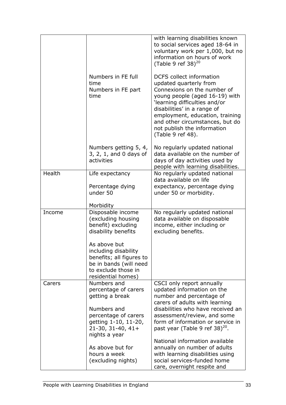|        |                                                                                                                                                                                                                                              | with learning disabilities known<br>to social services aged 18-64 in<br>voluntary work per 1,000, but no<br>information on hours of work<br>(Table 9 ref 38) $^{20}$                                                                                                                                                 |
|--------|----------------------------------------------------------------------------------------------------------------------------------------------------------------------------------------------------------------------------------------------|----------------------------------------------------------------------------------------------------------------------------------------------------------------------------------------------------------------------------------------------------------------------------------------------------------------------|
|        | Numbers in FE full<br>time<br>Numbers in FE part<br>time                                                                                                                                                                                     | <b>DCFS</b> collect information<br>updated quarterly from<br>Connexions on the number of<br>young people (aged 16-19) with<br>'learning difficulties and/or<br>disabilities' in a range of<br>employment, education, training<br>and other circumstances, but do<br>not publish the information<br>(Table 9 ref 48). |
|        | Numbers getting 5, 4,<br>3, 2, 1, and 0 days of<br>activities                                                                                                                                                                                | No regularly updated national<br>data available on the number of<br>days of day activities used by<br>people with learning disabilities.                                                                                                                                                                             |
| Health | Life expectancy<br>Percentage dying<br>under 50                                                                                                                                                                                              | No regularly updated national<br>data available on life<br>expectancy, percentage dying<br>under 50 or morbidity.                                                                                                                                                                                                    |
| Income | Morbidity<br>Disposable income<br>(excluding housing<br>benefit) excluding<br>disability benefits<br>As above but<br>including disability<br>benefits; all figures to<br>be in bands (will need<br>to exclude those in<br>residential homes) | No regularly updated national<br>data available on disposable<br>income, either including or<br>excluding benefits.                                                                                                                                                                                                  |
| Carers | Numbers and<br>percentage of carers<br>getting a break<br>Numbers and<br>percentage of carers<br>getting 1-10, 11-20,<br>$21-30, 31-40, 41+$<br>nights a year                                                                                | CSCI only report annually<br>updated information on the<br>number and percentage of<br>carers of adults with learning<br>disabilities who have received an<br>assessment/review, and some<br>form of information or service in<br>past year (Table 9 ref 38) <sup>20</sup> .                                         |
|        | As above but for<br>hours a week<br>(excluding nights)                                                                                                                                                                                       | National information available<br>annually on number of adults<br>with learning disabilities using<br>social services-funded home<br>care, overnight respite and                                                                                                                                                     |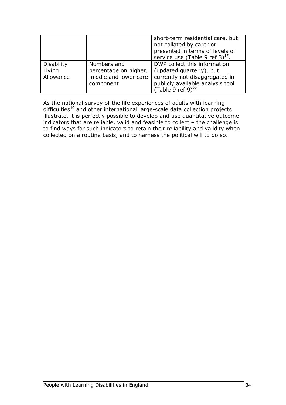|                                   |                                                               | short-term residential care, but<br>not collated by carer or<br>presented in terms of levels of<br>service use (Table 9 ref $3)^{17}$ . |
|-----------------------------------|---------------------------------------------------------------|-----------------------------------------------------------------------------------------------------------------------------------------|
| Disability<br>Living<br>Allowance | Numbers and<br>percentage on higher,<br>middle and lower care | DWP collect this information<br>(updated quarterly), but<br>currently not disaggregated in                                              |
|                                   | component                                                     | publicly available analysis tool<br>(Table 9 ref 9) $^{22}$                                                                             |

As the national survey of the life experiences of adults with learning difficulties<sup>10</sup> and other international large-scale data collection projects illustrate, it is perfectly possible to develop and use quantitative outcome indicators that are reliable, valid and feasible to collect – the challenge is to find ways for such indicators to retain their reliability and validity when collected on a routine basis, and to harness the political will to do so.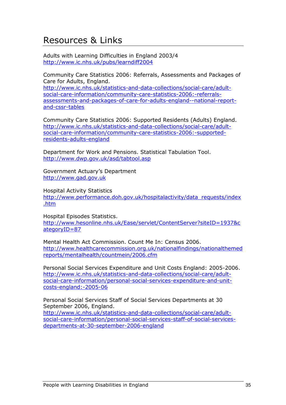## Resources & Links

Adults with Learning Difficulties in England 2003/4 http://www.ic.nhs.uk/pubs/learndiff2004

Community Care Statistics 2006: Referrals, Assessments and Packages of Care for Adults, England.

http://www.ic.nhs.uk/statistics-and-data-collections/social-care/adultsocial-care-information/community-care-statistics-2006:-referralsassessments-and-packages-of-care-for-adults-england--national-reportand-cssr-tables

Community Care Statistics 2006: Supported Residents (Adults) England. http://www.ic.nhs.uk/statistics-and-data-collections/social-care/adultsocial-care-information/community-care-statistics-2006:-supportedresidents-adults-england

Department for Work and Pensions. Statistical Tabulation Tool. http://www.dwp.gov.uk/asd/tabtool.asp

Government Actuary's Department http://www.gad.gov.uk

Hospital Activity Statistics

http://www.performance.doh.gov.uk/hospitalactivity/data\_requests/index .htm

Hospital Episodes Statistics.

http://www.hesonline.nhs.uk/Ease/servlet/ContentServer?siteID=1937&c ategoryID=87

Mental Health Act Commission. Count Me In: Census 2006. http://www.healthcarecommission.org.uk/nationalfindings/nationalthemed reports/mentalhealth/countmein/2006.cfm

Personal Social Services Expenditure and Unit Costs England: 2005-2006. http://www.ic.nhs.uk/statistics-and-data-collections/social-care/adultsocial-care-information/personal-social-services-expenditure-and-unitcosts-england:-2005-06

Personal Social Services Staff of Social Services Departments at 30 September 2006, England.

http://www.ic.nhs.uk/statistics-and-data-collections/social-care/adultsocial-care-information/personal-social-services-staff-of-social-servicesdepartments-at-30-september-2006-england